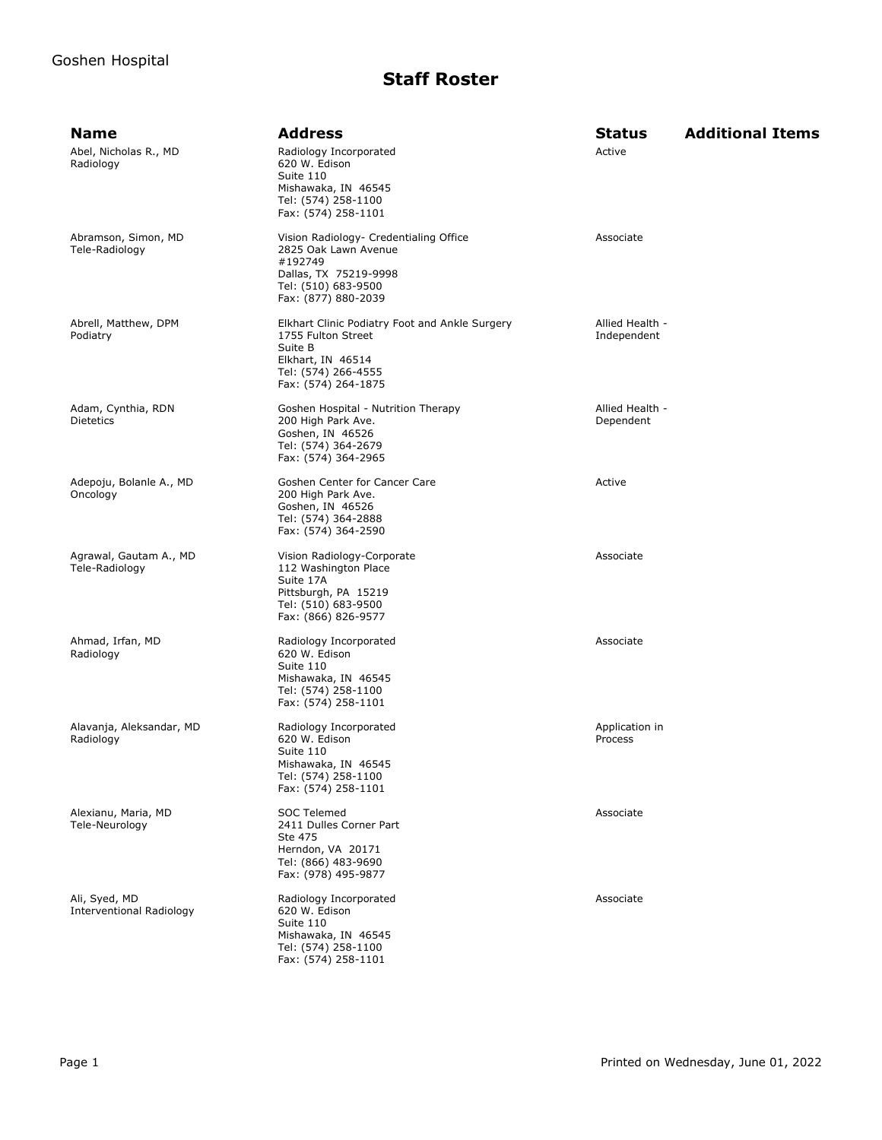| <b>Name</b>                               | <b>Address</b>                                                                                                                                     | <b>Status</b>                  | <b>Additional Items</b> |
|-------------------------------------------|----------------------------------------------------------------------------------------------------------------------------------------------------|--------------------------------|-------------------------|
| Abel, Nicholas R., MD<br>Radiology        | Radiology Incorporated<br>620 W. Edison<br>Suite 110<br>Mishawaka, IN 46545<br>Tel: (574) 258-1100<br>Fax: (574) 258-1101                          | Active                         |                         |
| Abramson, Simon, MD<br>Tele-Radiology     | Vision Radiology- Credentialing Office<br>2825 Oak Lawn Avenue<br>#192749<br>Dallas, TX 75219-9998<br>Tel: (510) 683-9500<br>Fax: (877) 880-2039   | Associate                      |                         |
| Abrell, Matthew, DPM<br>Podiatry          | Elkhart Clinic Podiatry Foot and Ankle Surgery<br>1755 Fulton Street<br>Suite B<br>Elkhart, IN 46514<br>Tel: (574) 266-4555<br>Fax: (574) 264-1875 | Allied Health -<br>Independent |                         |
| Adam, Cynthia, RDN<br><b>Dietetics</b>    | Goshen Hospital - Nutrition Therapy<br>200 High Park Ave.<br>Goshen, IN 46526<br>Tel: (574) 364-2679<br>Fax: (574) 364-2965                        | Allied Health -<br>Dependent   |                         |
| Adepoju, Bolanle A., MD<br>Oncology       | Goshen Center for Cancer Care<br>200 High Park Ave.<br>Goshen, IN 46526<br>Tel: (574) 364-2888<br>Fax: (574) 364-2590                              | Active                         |                         |
| Agrawal, Gautam A., MD<br>Tele-Radiology  | Vision Radiology-Corporate<br>112 Washington Place<br>Suite 17A<br>Pittsburgh, PA 15219<br>Tel: (510) 683-9500<br>Fax: (866) 826-9577              | Associate                      |                         |
| Ahmad, Irfan, MD<br>Radiology             | Radiology Incorporated<br>620 W. Edison<br>Suite 110<br>Mishawaka, IN 46545<br>Tel: (574) 258-1100<br>Fax: (574) 258-1101                          | Associate                      |                         |
| Alavanja, Aleksandar, MD<br>Radiology     | Radiology Incorporated<br>620 W. Edison<br>Suite 110<br>Mishawaka, IN 46545<br>Tel: (574) 258-1100<br>Fax: (574) 258-1101                          | Application in<br>Process      |                         |
| Alexianu, Maria, MD<br>Tele-Neurology     | <b>SOC Telemed</b><br>2411 Dulles Corner Part<br>Ste 475<br>Herndon, VA 20171<br>Tel: (866) 483-9690<br>Fax: (978) 495-9877                        | Associate                      |                         |
| Ali, Syed, MD<br>Interventional Radiology | Radiology Incorporated<br>620 W. Edison<br>Suite 110<br>Mishawaka, IN 46545<br>Tel: (574) 258-1100<br>Fax: (574) 258-1101                          | Associate                      |                         |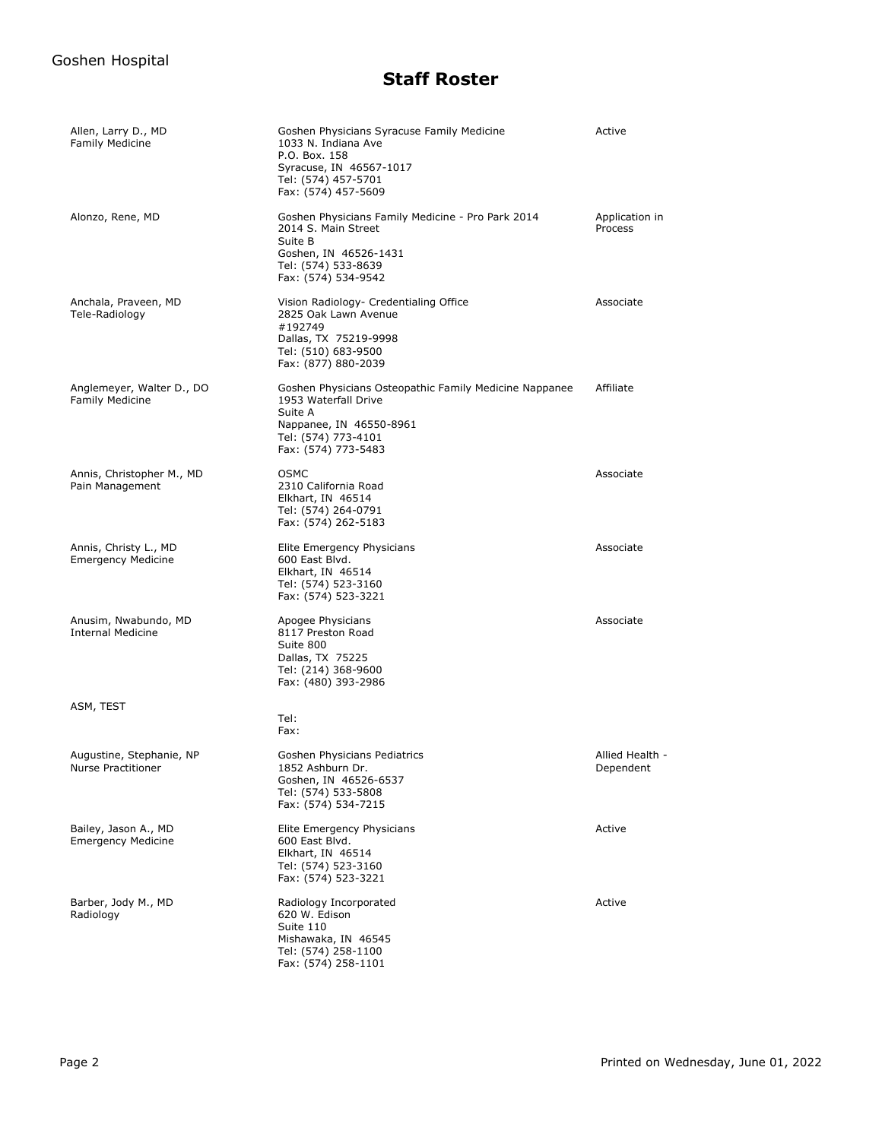| Allen, Larry D., MD<br><b>Family Medicine</b>       | Goshen Physicians Syracuse Family Medicine<br>1033 N. Indiana Ave<br>P.O. Box. 158<br>Syracuse, IN 46567-1017<br>Tel: (574) 457-5701<br>Fax: (574) 457-5609        | Active                       |
|-----------------------------------------------------|--------------------------------------------------------------------------------------------------------------------------------------------------------------------|------------------------------|
| Alonzo, Rene, MD                                    | Goshen Physicians Family Medicine - Pro Park 2014<br>2014 S. Main Street<br>Suite B<br>Goshen, IN 46526-1431<br>Tel: (574) 533-8639<br>Fax: (574) 534-9542         | Application in<br>Process    |
| Anchala, Praveen, MD<br>Tele-Radiology              | Vision Radiology- Credentialing Office<br>2825 Oak Lawn Avenue<br>#192749<br>Dallas, TX 75219-9998<br>Tel: (510) 683-9500<br>Fax: (877) 880-2039                   | Associate                    |
| Anglemeyer, Walter D., DO<br><b>Family Medicine</b> | Goshen Physicians Osteopathic Family Medicine Nappanee<br>1953 Waterfall Drive<br>Suite A<br>Nappanee, IN 46550-8961<br>Tel: (574) 773-4101<br>Fax: (574) 773-5483 | Affiliate                    |
| Annis, Christopher M., MD<br>Pain Management        | <b>OSMC</b><br>2310 California Road<br>Elkhart, IN 46514<br>Tel: (574) 264-0791<br>Fax: (574) 262-5183                                                             | Associate                    |
| Annis, Christy L., MD<br><b>Emergency Medicine</b>  | Elite Emergency Physicians<br>600 East Blvd.<br>Elkhart, IN 46514<br>Tel: (574) 523-3160<br>Fax: (574) 523-3221                                                    | Associate                    |
| Anusim, Nwabundo, MD<br><b>Internal Medicine</b>    | Apogee Physicians<br>8117 Preston Road<br>Suite 800<br>Dallas, TX 75225<br>Tel: (214) 368-9600<br>Fax: (480) 393-2986                                              | Associate                    |
| ASM, TEST                                           | Tel:                                                                                                                                                               |                              |
|                                                     | Fax:                                                                                                                                                               |                              |
| Augustine, Stephanie, NP<br>Nurse Practitioner      | Goshen Physicians Pediatrics<br>1852 Ashburn Dr.<br>Goshen, IN 46526-6537<br>Tel: (574) 533-5808<br>Fax: (574) 534-7215                                            | Allied Health -<br>Dependent |
| Bailey, Jason A., MD<br><b>Emergency Medicine</b>   | Elite Emergency Physicians<br>600 East Blvd.<br>Elkhart, IN 46514<br>Tel: (574) 523-3160<br>Fax: (574) 523-3221                                                    | Active                       |
| Barber, Jody M., MD<br>Radiology                    | Radiology Incorporated<br>620 W. Edison<br>Suite 110<br>Mishawaka, IN 46545<br>Tel: (574) 258-1100<br>Fax: (574) 258-1101                                          | Active                       |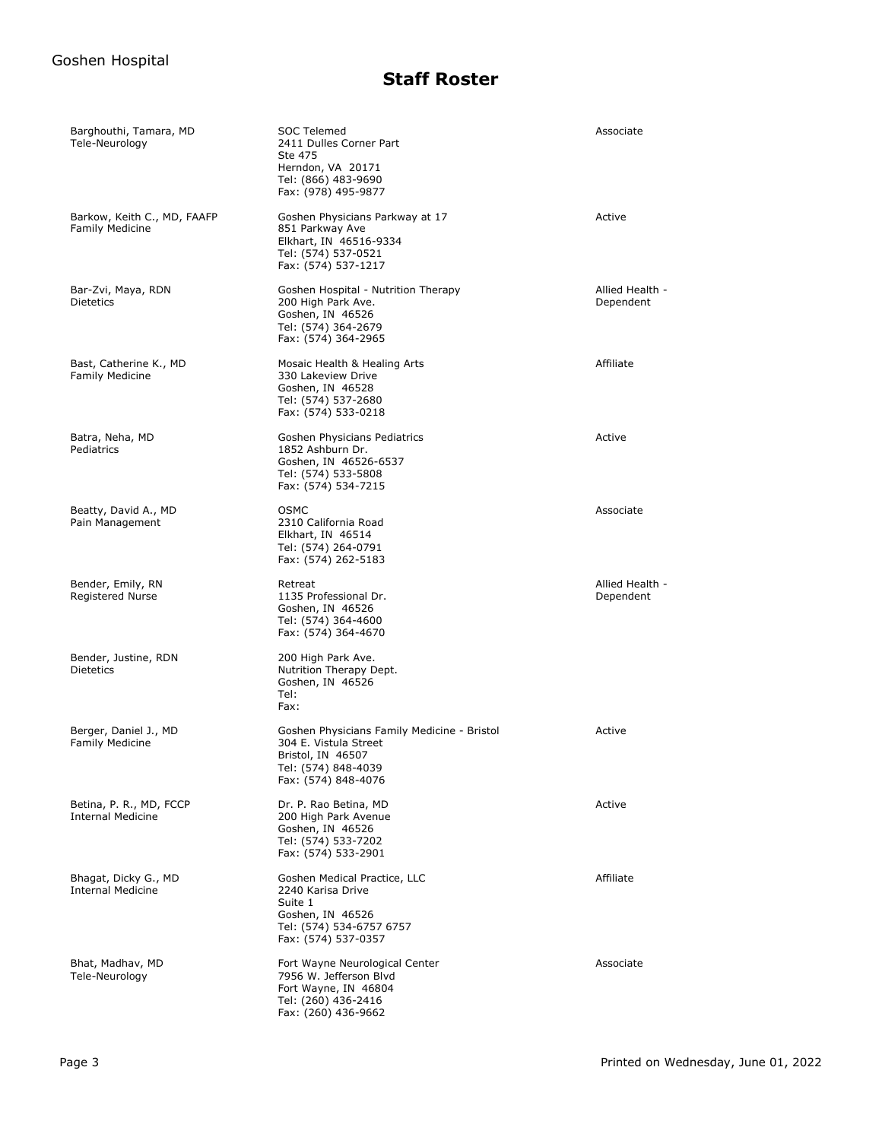| Barghouthi, Tamara, MD<br>Tele-Neurology              | SOC Telemed<br>2411 Dulles Corner Part<br>Ste 475<br>Herndon, VA 20171<br>Tel: (866) 483-9690<br>Fax: (978) 495-9877                    | Associate                    |
|-------------------------------------------------------|-----------------------------------------------------------------------------------------------------------------------------------------|------------------------------|
| Barkow, Keith C., MD, FAAFP<br><b>Family Medicine</b> | Goshen Physicians Parkway at 17<br>851 Parkway Ave<br>Elkhart, IN 46516-9334<br>Tel: (574) 537-0521<br>Fax: (574) 537-1217              | Active                       |
| Bar-Zvi, Maya, RDN<br><b>Dietetics</b>                | Goshen Hospital - Nutrition Therapy<br>200 High Park Ave.<br>Goshen, IN 46526<br>Tel: (574) 364-2679<br>Fax: (574) 364-2965             | Allied Health -<br>Dependent |
| Bast, Catherine K., MD<br><b>Family Medicine</b>      | Mosaic Health & Healing Arts<br>330 Lakeview Drive<br>Goshen, IN 46528<br>Tel: (574) 537-2680<br>Fax: (574) 533-0218                    | Affiliate                    |
| Batra, Neha, MD<br>Pediatrics                         | Goshen Physicians Pediatrics<br>1852 Ashburn Dr.<br>Goshen, IN 46526-6537<br>Tel: (574) 533-5808<br>Fax: (574) 534-7215                 | Active                       |
| Beatty, David A., MD<br>Pain Management               | <b>OSMC</b><br>2310 California Road<br>Elkhart, IN 46514<br>Tel: (574) 264-0791<br>Fax: (574) 262-5183                                  | Associate                    |
| Bender, Emily, RN<br><b>Registered Nurse</b>          | Retreat<br>1135 Professional Dr.<br>Goshen, IN 46526<br>Tel: (574) 364-4600<br>Fax: (574) 364-4670                                      | Allied Health -<br>Dependent |
| Bender, Justine, RDN<br>Dietetics                     | 200 High Park Ave.<br>Nutrition Therapy Dept.<br>Goshen, IN 46526<br>Tel:<br>Fax:                                                       |                              |
| Berger, Daniel J., MD<br><b>Family Medicine</b>       | Goshen Physicians Family Medicine - Bristol<br>304 E. Vistula Street<br>Bristol, IN 46507<br>Tel: (574) 848-4039<br>Fax: (574) 848-4076 | Active                       |
| Betina, P. R., MD, FCCP<br><b>Internal Medicine</b>   | Dr. P. Rao Betina, MD<br>200 High Park Avenue<br>Goshen, IN 46526<br>Tel: (574) 533-7202<br>Fax: (574) 533-2901                         | Active                       |
| Bhagat, Dicky G., MD<br><b>Internal Medicine</b>      | Goshen Medical Practice, LLC<br>2240 Karisa Drive<br>Suite 1<br>Goshen, IN 46526<br>Tel: (574) 534-6757 6757<br>Fax: (574) 537-0357     | Affiliate                    |
| Bhat, Madhav, MD<br>Tele-Neurology                    | Fort Wayne Neurological Center<br>7956 W. Jefferson Blvd<br>Fort Wayne, IN 46804<br>Tel: (260) 436-2416<br>Fax: (260) 436-9662          | Associate                    |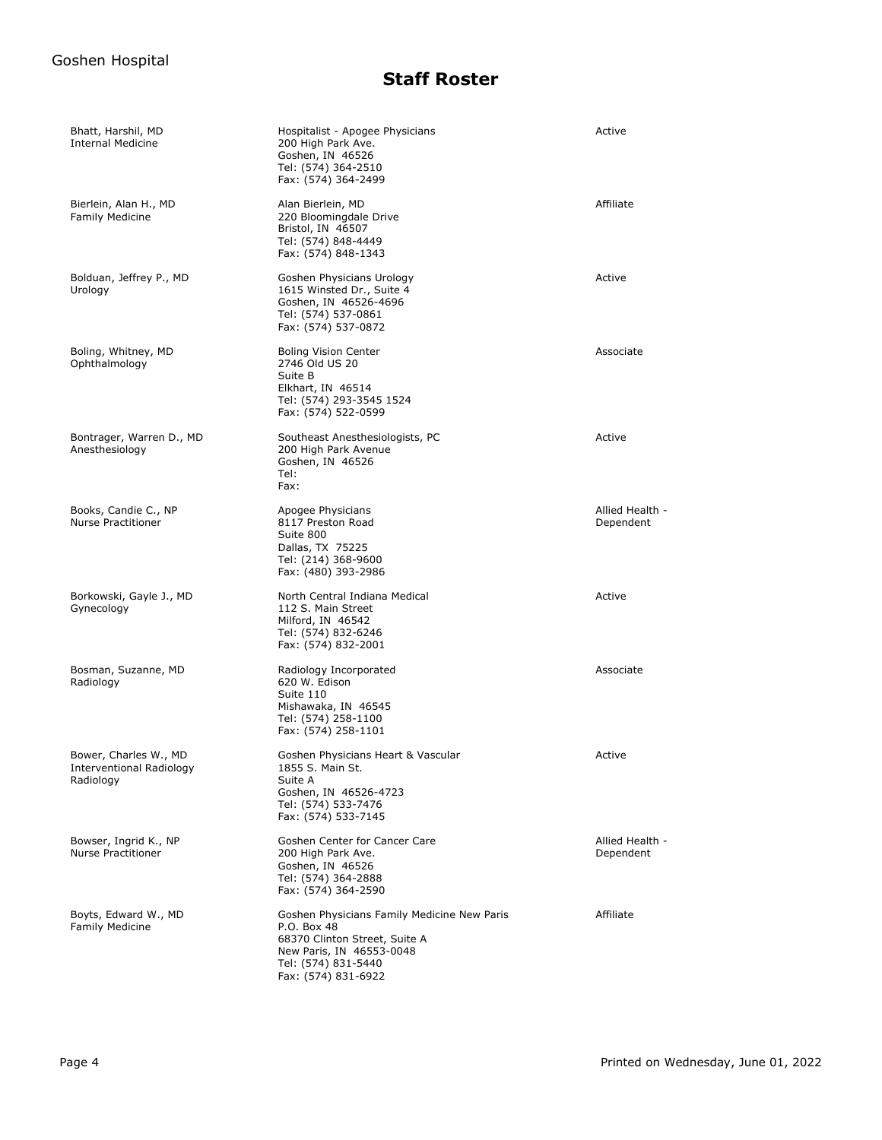| Bhatt, Harshil, MD<br><b>Internal Medicine</b>                        | Hospitalist - Apogee Physicians<br>200 High Park Ave.<br>Goshen, IN 46526<br>Tel: (574) 364-2510<br>Fax: (574) 364-2499                                               | Active                       |
|-----------------------------------------------------------------------|-----------------------------------------------------------------------------------------------------------------------------------------------------------------------|------------------------------|
| Bierlein, Alan H., MD<br><b>Family Medicine</b>                       | Alan Bierlein, MD<br>220 Bloomingdale Drive<br>Bristol, IN 46507<br>Tel: (574) 848-4449<br>Fax: (574) 848-1343                                                        | Affiliate                    |
| Bolduan, Jeffrey P., MD<br>Urology                                    | Goshen Physicians Urology<br>1615 Winsted Dr., Suite 4<br>Goshen, IN 46526-4696<br>Tel: (574) 537-0861<br>Fax: (574) 537-0872                                         | Active                       |
| Boling, Whitney, MD<br>Ophthalmology                                  | <b>Boling Vision Center</b><br>2746 Old US 20<br>Suite B<br>Elkhart, IN 46514<br>Tel: (574) 293-3545 1524<br>Fax: (574) 522-0599                                      | Associate                    |
| Bontrager, Warren D., MD<br>Anesthesiology                            | Southeast Anesthesiologists, PC<br>200 High Park Avenue<br>Goshen, IN 46526<br>Tel:<br>Fax:                                                                           | Active                       |
| Books, Candie C., NP<br><b>Nurse Practitioner</b>                     | Apogee Physicians<br>8117 Preston Road<br>Suite 800<br>Dallas, TX 75225<br>Tel: (214) 368-9600<br>Fax: (480) 393-2986                                                 | Allied Health -<br>Dependent |
| Borkowski, Gayle J., MD<br>Gynecology                                 | North Central Indiana Medical<br>112 S. Main Street<br>Milford, IN 46542<br>Tel: (574) 832-6246<br>Fax: (574) 832-2001                                                | Active                       |
| Bosman, Suzanne, MD<br>Radiology                                      | Radiology Incorporated<br>620 W. Edison<br>Suite 110<br>Mishawaka, IN 46545<br>Tel: (574) 258-1100<br>Fax: (574) 258-1101                                             | Associate                    |
| Bower, Charles W., MD<br><b>Interventional Radiology</b><br>Radiology | Goshen Physicians Heart & Vascular<br>1855 S. Main St.<br>Suite A<br>Goshen, IN 46526-4723<br>Tel: (574) 533-7476<br>Fax: (574) 533-7145                              | Active                       |
| Bowser, Ingrid K., NP<br><b>Nurse Practitioner</b>                    | Goshen Center for Cancer Care<br>200 High Park Ave.<br>Goshen, IN 46526<br>Tel: (574) 364-2888<br>Fax: (574) 364-2590                                                 | Allied Health -<br>Dependent |
| Boyts, Edward W., MD<br>Family Medicine                               | Goshen Physicians Family Medicine New Paris<br>P.O. Box 48<br>68370 Clinton Street, Suite A<br>New Paris, IN 46553-0048<br>Tel: (574) 831-5440<br>Fax: (574) 831-6922 | Affiliate                    |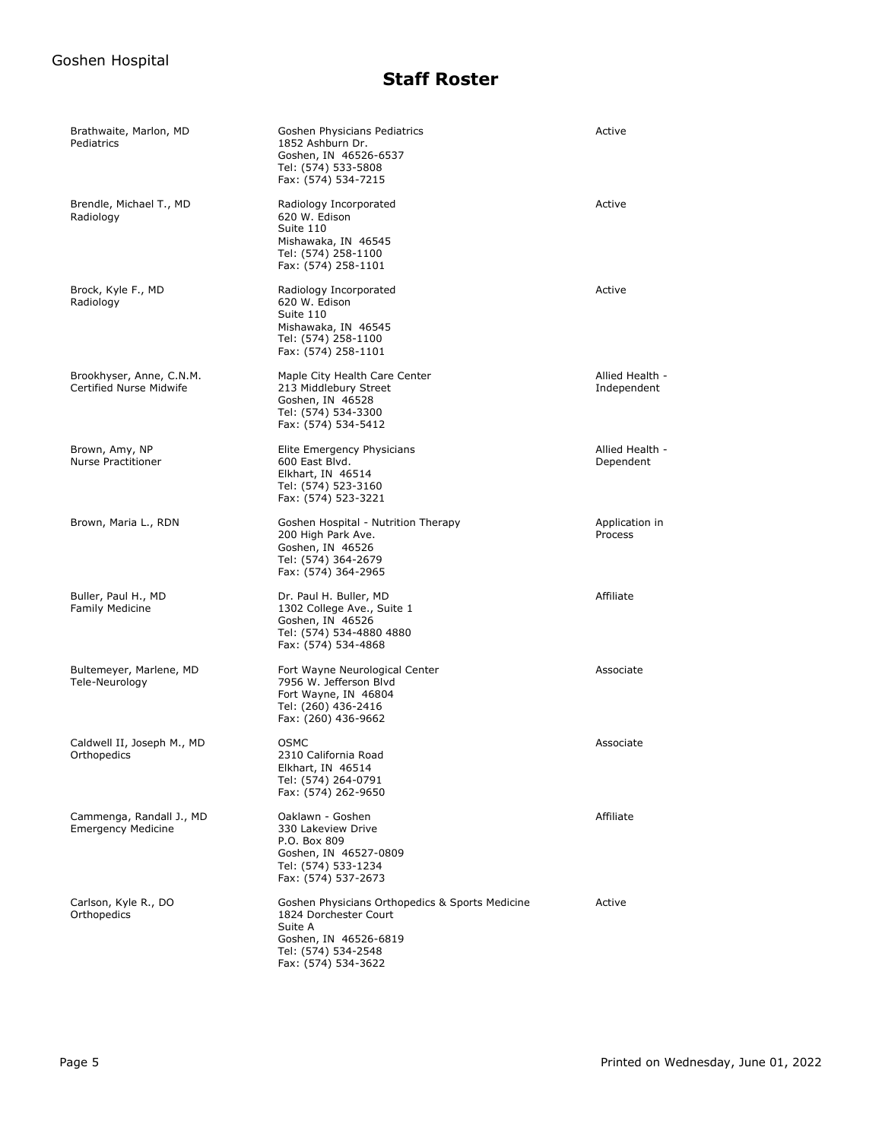| Brathwaite, Marlon, MD<br>Pediatrics                  | Goshen Physicians Pediatrics<br>1852 Ashburn Dr.<br>Goshen, IN 46526-6537<br>Tel: (574) 533-5808<br>Fax: (574) 534-7215                                    | Active                         |
|-------------------------------------------------------|------------------------------------------------------------------------------------------------------------------------------------------------------------|--------------------------------|
| Brendle, Michael T., MD<br>Radiology                  | Radiology Incorporated<br>620 W. Edison<br>Suite 110<br>Mishawaka, IN 46545<br>Tel: (574) 258-1100<br>Fax: (574) 258-1101                                  | Active                         |
| Brock, Kyle F., MD<br>Radiology                       | Radiology Incorporated<br>620 W. Edison<br>Suite 110<br>Mishawaka, IN 46545<br>Tel: (574) 258-1100<br>Fax: (574) 258-1101                                  | Active                         |
| Brookhyser, Anne, C.N.M.<br>Certified Nurse Midwife   | Maple City Health Care Center<br>213 Middlebury Street<br>Goshen, IN 46528<br>Tel: (574) 534-3300<br>Fax: (574) 534-5412                                   | Allied Health -<br>Independent |
| Brown, Amy, NP<br><b>Nurse Practitioner</b>           | Elite Emergency Physicians<br>600 East Blvd.<br>Elkhart, IN 46514<br>Tel: (574) 523-3160<br>Fax: (574) 523-3221                                            | Allied Health -<br>Dependent   |
| Brown, Maria L., RDN                                  | Goshen Hospital - Nutrition Therapy<br>200 High Park Ave.<br>Goshen, IN 46526<br>Tel: (574) 364-2679<br>Fax: (574) 364-2965                                | Application in<br>Process      |
| Buller, Paul H., MD<br><b>Family Medicine</b>         | Dr. Paul H. Buller, MD<br>1302 College Ave., Suite 1<br>Goshen, IN 46526<br>Tel: (574) 534-4880 4880<br>Fax: (574) 534-4868                                | Affiliate                      |
| Bultemeyer, Marlene, MD<br>Tele-Neurology             | Fort Wayne Neurological Center<br>7956 W. Jefferson Blvd<br>Fort Wayne, IN 46804<br>Tel: (260) 436-2416<br>Fax: (260) 436-9662                             | Associate                      |
| Caldwell II, Joseph M., MD<br>Orthopedics             | <b>OSMC</b><br>2310 California Road<br>Elkhart, IN 46514<br>Tel: (574) 264-0791<br>Fax: (574) 262-9650                                                     | Associate                      |
| Cammenga, Randall J., MD<br><b>Emergency Medicine</b> | Oaklawn - Goshen<br>330 Lakeview Drive<br>P.O. Box 809<br>Goshen, IN 46527-0809<br>Tel: (574) 533-1234<br>Fax: (574) 537-2673                              | Affiliate                      |
| Carlson, Kyle R., DO<br>Orthopedics                   | Goshen Physicians Orthopedics & Sports Medicine<br>1824 Dorchester Court<br>Suite A<br>Goshen, IN 46526-6819<br>Tel: (574) 534-2548<br>Fax: (574) 534-3622 | Active                         |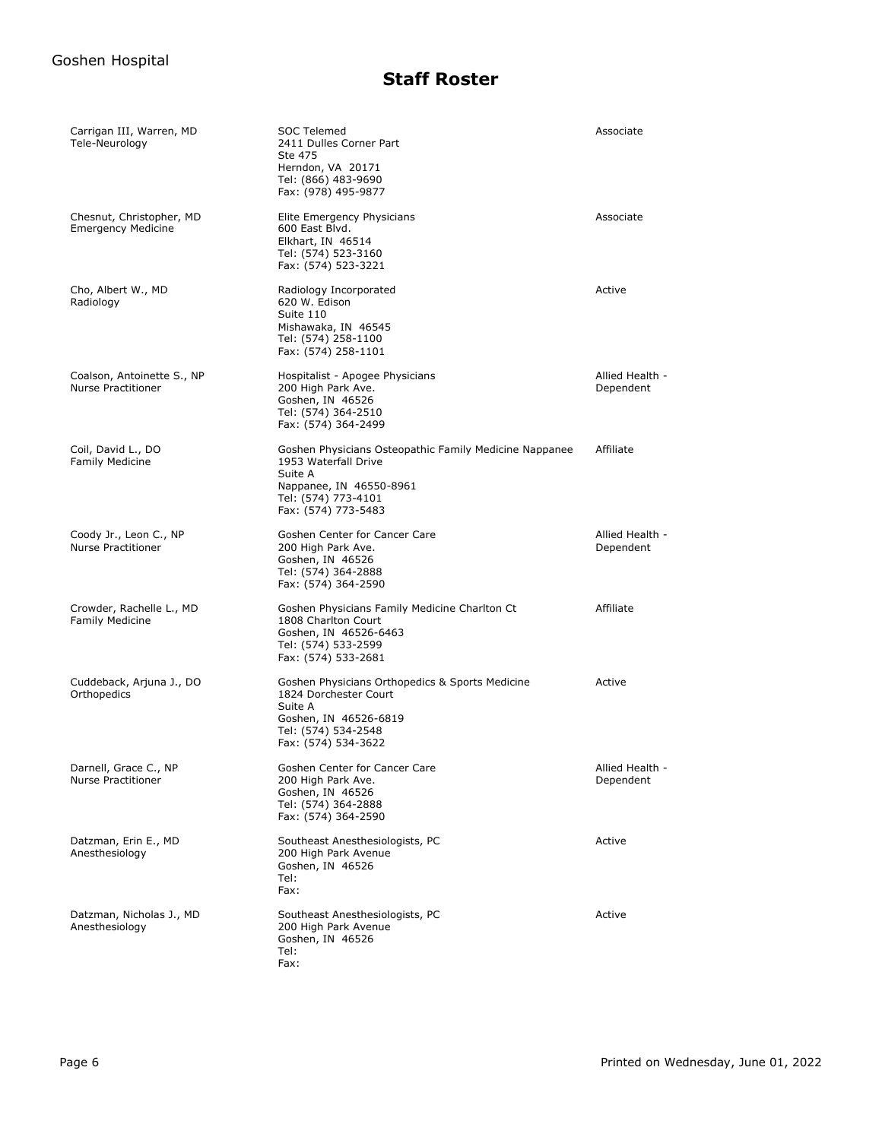| Carrigan III, Warren, MD<br>Tele-Neurology              | SOC Telemed<br>2411 Dulles Corner Part<br>Ste 475<br>Herndon, VA 20171<br>Tel: (866) 483-9690<br>Fax: (978) 495-9877                                               | Associate                    |
|---------------------------------------------------------|--------------------------------------------------------------------------------------------------------------------------------------------------------------------|------------------------------|
| Chesnut, Christopher, MD<br><b>Emergency Medicine</b>   | Elite Emergency Physicians<br>600 East Blvd.<br>Elkhart, IN 46514<br>Tel: (574) 523-3160<br>Fax: (574) 523-3221                                                    | Associate                    |
| Cho, Albert W., MD<br>Radiology                         | Radiology Incorporated<br>620 W. Edison<br>Suite 110<br>Mishawaka, IN 46545<br>Tel: (574) 258-1100<br>Fax: (574) 258-1101                                          | Active                       |
| Coalson, Antoinette S., NP<br><b>Nurse Practitioner</b> | Hospitalist - Apogee Physicians<br>200 High Park Ave.<br>Goshen, IN 46526<br>Tel: (574) 364-2510<br>Fax: (574) 364-2499                                            | Allied Health -<br>Dependent |
| Coil, David L., DO<br><b>Family Medicine</b>            | Goshen Physicians Osteopathic Family Medicine Nappanee<br>1953 Waterfall Drive<br>Suite A<br>Nappanee, IN 46550-8961<br>Tel: (574) 773-4101<br>Fax: (574) 773-5483 | Affiliate                    |
| Coody Jr., Leon C., NP<br><b>Nurse Practitioner</b>     | Goshen Center for Cancer Care<br>200 High Park Ave.<br>Goshen, IN 46526<br>Tel: (574) 364-2888<br>Fax: (574) 364-2590                                              | Allied Health -<br>Dependent |
| Crowder, Rachelle L., MD<br><b>Family Medicine</b>      | Goshen Physicians Family Medicine Charlton Ct<br>1808 Charlton Court<br>Goshen, IN 46526-6463<br>Tel: (574) 533-2599<br>Fax: (574) 533-2681                        | Affiliate                    |
| Cuddeback, Arjuna J., DO<br>Orthopedics                 | Goshen Physicians Orthopedics & Sports Medicine<br>1824 Dorchester Court<br>Suite A<br>Goshen, IN 46526-6819<br>Tel: (574) 534-2548<br>Fax: (574) 534-3622         | Active                       |
| Darnell, Grace C., NP<br><b>Nurse Practitioner</b>      | Goshen Center for Cancer Care<br>200 High Park Ave.<br>Goshen, IN 46526<br>Tel: (574) 364-2888<br>Fax: (574) 364-2590                                              | Allied Health -<br>Dependent |
| Datzman, Erin E., MD<br>Anesthesiology                  | Southeast Anesthesiologists, PC<br>200 High Park Avenue<br>Goshen, IN 46526<br>Tel:<br>Fax:                                                                        | Active                       |
| Datzman, Nicholas J., MD<br>Anesthesiology              | Southeast Anesthesiologists, PC<br>200 High Park Avenue<br>Goshen, IN 46526<br>Tel:<br>Fax:                                                                        | Active                       |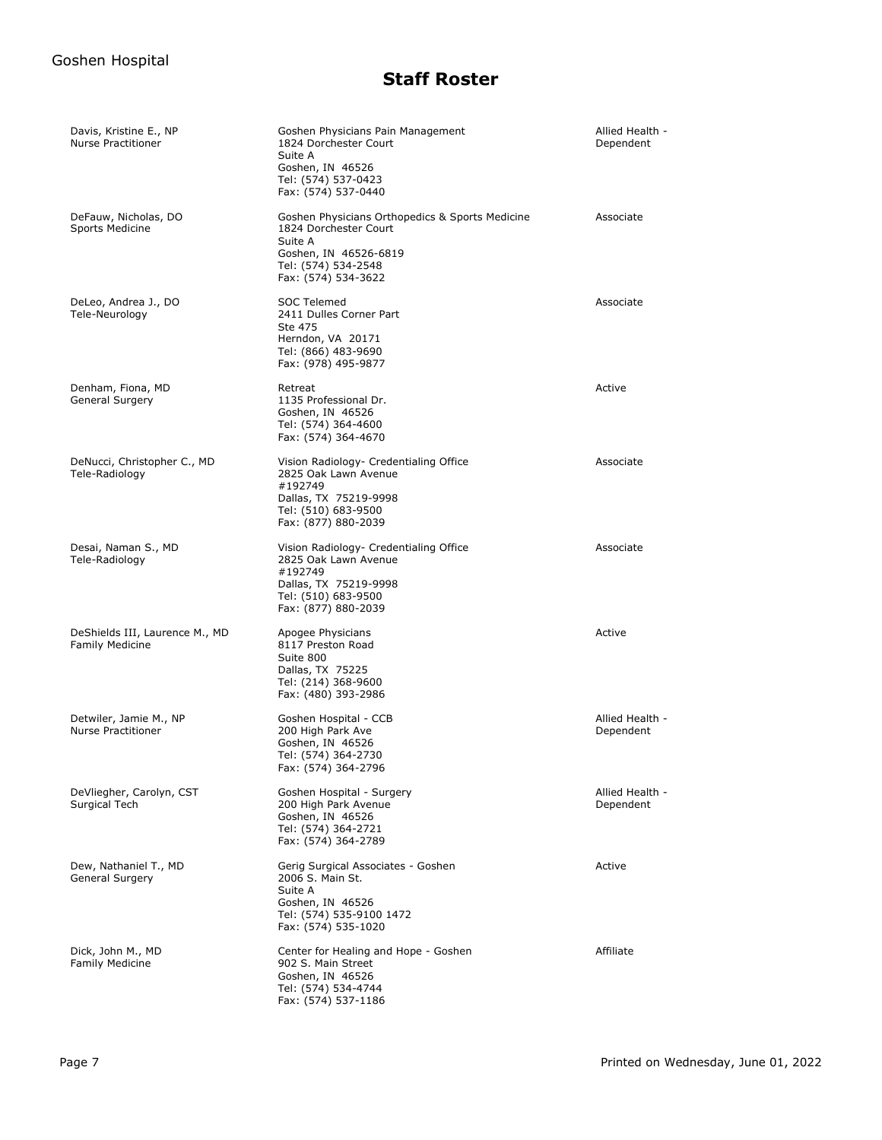| Davis, Kristine E., NP<br>Nurse Practitioner             | Goshen Physicians Pain Management<br>1824 Dorchester Court<br>Suite A<br>Goshen, IN 46526<br>Tel: (574) 537-0423<br>Fax: (574) 537-0440                    | Allied Health -<br>Dependent |
|----------------------------------------------------------|------------------------------------------------------------------------------------------------------------------------------------------------------------|------------------------------|
| DeFauw, Nicholas, DO<br>Sports Medicine                  | Goshen Physicians Orthopedics & Sports Medicine<br>1824 Dorchester Court<br>Suite A<br>Goshen, IN 46526-6819<br>Tel: (574) 534-2548<br>Fax: (574) 534-3622 | Associate                    |
| DeLeo, Andrea J., DO<br>Tele-Neurology                   | <b>SOC Telemed</b><br>2411 Dulles Corner Part<br>Ste 475<br>Herndon, VA 20171<br>Tel: (866) 483-9690<br>Fax: (978) 495-9877                                | Associate                    |
| Denham, Fiona, MD<br>General Surgery                     | Retreat<br>1135 Professional Dr.<br>Goshen, IN 46526<br>Tel: (574) 364-4600<br>Fax: (574) 364-4670                                                         | Active                       |
| DeNucci, Christopher C., MD<br>Tele-Radiology            | Vision Radiology- Credentialing Office<br>2825 Oak Lawn Avenue<br>#192749<br>Dallas, TX 75219-9998<br>Tel: (510) 683-9500<br>Fax: (877) 880-2039           | Associate                    |
| Desai, Naman S., MD<br>Tele-Radiology                    | Vision Radiology- Credentialing Office<br>2825 Oak Lawn Avenue<br>#192749<br>Dallas, TX 75219-9998<br>Tel: (510) 683-9500<br>Fax: (877) 880-2039           | Associate                    |
| DeShields III, Laurence M., MD<br><b>Family Medicine</b> | Apogee Physicians<br>8117 Preston Road<br>Suite 800<br>Dallas, TX 75225<br>Tel: (214) 368-9600<br>Fax: (480) 393-2986                                      | Active                       |
| Detwiler, Jamie M., NP<br><b>Nurse Practitioner</b>      | Goshen Hospital - CCB<br>200 High Park Ave<br>Goshen, IN 46526<br>Tel: (574) 364-2730<br>Fax: (574) 364-2796                                               | Allied Health -<br>Dependent |
| DeVliegher, Carolyn, CST<br>Surgical Tech                | Goshen Hospital - Surgery<br>200 High Park Avenue<br>Goshen, IN 46526<br>Tel: (574) 364-2721<br>Fax: (574) 364-2789                                        | Allied Health -<br>Dependent |
| Dew, Nathaniel T., MD<br>General Surgery                 | Gerig Surgical Associates - Goshen<br>2006 S. Main St.<br>Suite A<br>Goshen, IN 46526<br>Tel: (574) 535-9100 1472<br>Fax: (574) 535-1020                   | Active                       |
| Dick, John M., MD<br><b>Family Medicine</b>              | Center for Healing and Hope - Goshen<br>902 S. Main Street<br>Goshen, IN 46526<br>Tel: (574) 534-4744<br>Fax: (574) 537-1186                               | Affiliate                    |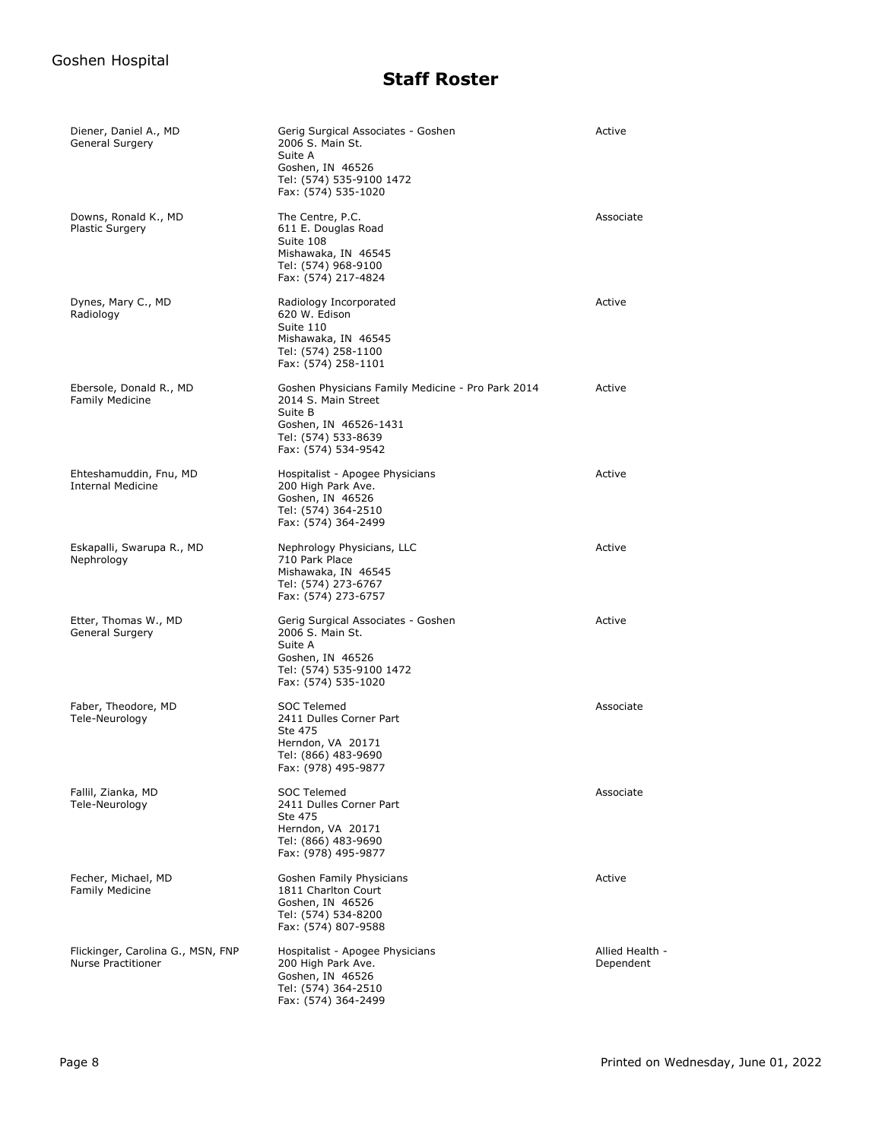| Diener, Daniel A., MD<br>General Surgery                       | Gerig Surgical Associates - Goshen<br>2006 S. Main St.<br>Suite A<br>Goshen, IN 46526<br>Tel: (574) 535-9100 1472<br>Fax: (574) 535-1020                   | Active                       |
|----------------------------------------------------------------|------------------------------------------------------------------------------------------------------------------------------------------------------------|------------------------------|
| Downs, Ronald K., MD<br><b>Plastic Surgery</b>                 | The Centre, P.C.<br>611 E. Douglas Road<br>Suite 108<br>Mishawaka, IN 46545<br>Tel: (574) 968-9100<br>Fax: (574) 217-4824                                  | Associate                    |
| Dynes, Mary C., MD<br>Radiology                                | Radiology Incorporated<br>620 W. Edison<br>Suite 110<br>Mishawaka, IN 46545<br>Tel: (574) 258-1100<br>Fax: (574) 258-1101                                  | Active                       |
| Ebersole, Donald R., MD<br><b>Family Medicine</b>              | Goshen Physicians Family Medicine - Pro Park 2014<br>2014 S. Main Street<br>Suite B<br>Goshen, IN 46526-1431<br>Tel: (574) 533-8639<br>Fax: (574) 534-9542 | Active                       |
| Ehteshamuddin, Fnu, MD<br><b>Internal Medicine</b>             | Hospitalist - Apogee Physicians<br>200 High Park Ave.<br>Goshen, IN 46526<br>Tel: (574) 364-2510<br>Fax: (574) 364-2499                                    | Active                       |
| Eskapalli, Swarupa R., MD<br>Nephrology                        | Nephrology Physicians, LLC<br>710 Park Place<br>Mishawaka, IN 46545<br>Tel: (574) 273-6767<br>Fax: (574) 273-6757                                          | Active                       |
| Etter, Thomas W., MD<br>General Surgery                        | Gerig Surgical Associates - Goshen<br>2006 S. Main St.<br>Suite A<br>Goshen, IN 46526<br>Tel: (574) 535-9100 1472<br>Fax: (574) 535-1020                   | Active                       |
| Faber, Theodore, MD<br>Tele-Neurology                          | <b>SOC Telemed</b><br>2411 Dulles Corner Part<br>Ste 475<br>Herndon, VA 20171<br>Tel: (866) 483-9690<br>Fax: (978) 495-9877                                | Associate                    |
| Fallil, Zianka, MD<br>Tele-Neurology                           | SOC Telemed<br>2411 Dulles Corner Part<br>Ste 475<br>Herndon, VA 20171<br>Tel: (866) 483-9690<br>Fax: (978) 495-9877                                       | Associate                    |
| Fecher, Michael, MD<br><b>Family Medicine</b>                  | Goshen Family Physicians<br>1811 Charlton Court<br>Goshen, IN 46526<br>Tel: (574) 534-8200<br>Fax: (574) 807-9588                                          | Active                       |
| Flickinger, Carolina G., MSN, FNP<br><b>Nurse Practitioner</b> | Hospitalist - Apogee Physicians<br>200 High Park Ave.<br>Goshen, IN 46526<br>Tel: (574) 364-2510<br>Fax: (574) 364-2499                                    | Allied Health -<br>Dependent |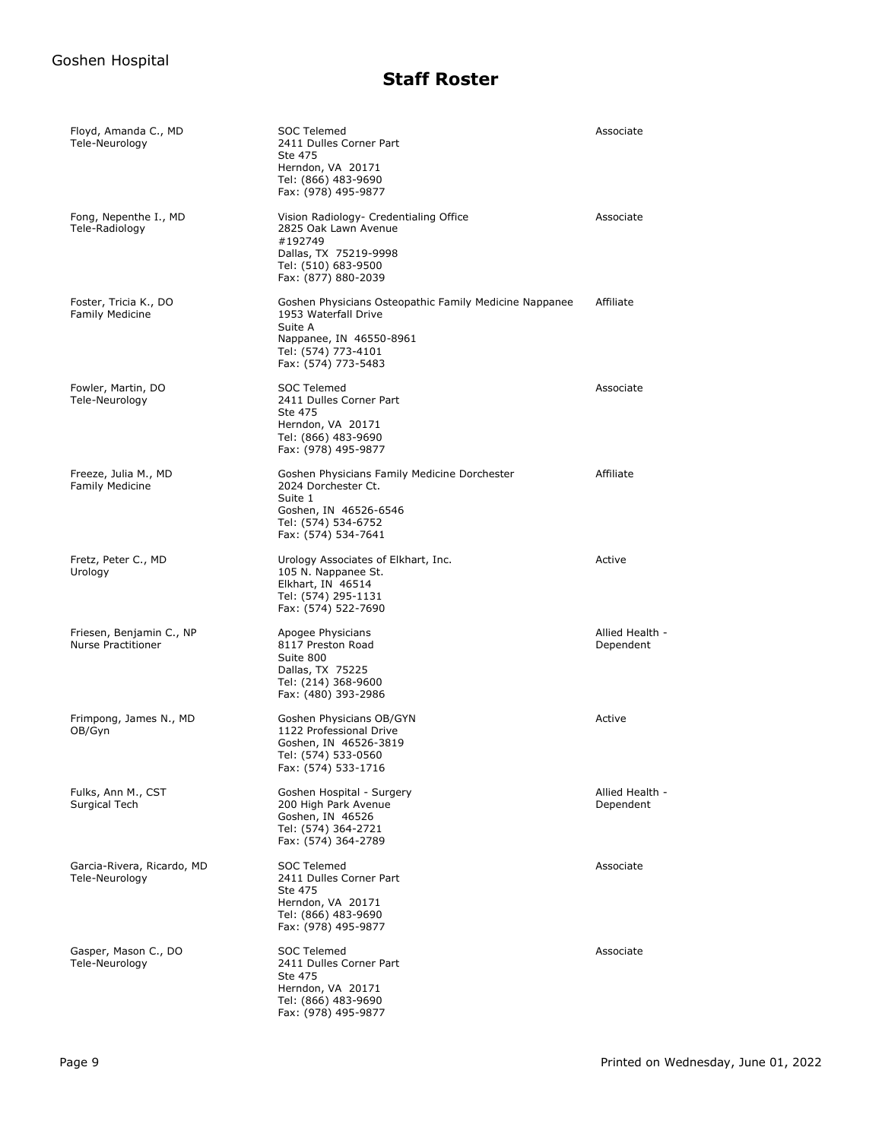| Floyd, Amanda C., MD<br>Tele-Neurology                | <b>SOC Telemed</b><br>2411 Dulles Corner Part<br>Ste 475<br>Herndon, VA 20171<br>Tel: (866) 483-9690<br>Fax: (978) 495-9877                                        | Associate                    |
|-------------------------------------------------------|--------------------------------------------------------------------------------------------------------------------------------------------------------------------|------------------------------|
| Fong, Nepenthe I., MD<br>Tele-Radiology               | Vision Radiology- Credentialing Office<br>2825 Oak Lawn Avenue<br>#192749<br>Dallas, TX 75219-9998<br>Tel: (510) 683-9500<br>Fax: (877) 880-2039                   | Associate                    |
| Foster, Tricia K., DO<br><b>Family Medicine</b>       | Goshen Physicians Osteopathic Family Medicine Nappanee<br>1953 Waterfall Drive<br>Suite A<br>Nappanee, IN 46550-8961<br>Tel: (574) 773-4101<br>Fax: (574) 773-5483 | Affiliate                    |
| Fowler, Martin, DO<br>Tele-Neurology                  | SOC Telemed<br>2411 Dulles Corner Part<br>Ste 475<br>Herndon, VA 20171<br>Tel: (866) 483-9690<br>Fax: (978) 495-9877                                               | Associate                    |
| Freeze, Julia M., MD<br><b>Family Medicine</b>        | Goshen Physicians Family Medicine Dorchester<br>2024 Dorchester Ct.<br>Suite 1<br>Goshen, IN 46526-6546<br>Tel: (574) 534-6752<br>Fax: (574) 534-7641              | Affiliate                    |
| Fretz, Peter C., MD<br>Urology                        | Urology Associates of Elkhart, Inc.<br>105 N. Nappanee St.<br>Elkhart, IN 46514<br>Tel: (574) 295-1131<br>Fax: (574) 522-7690                                      | Active                       |
| Friesen, Benjamin C., NP<br><b>Nurse Practitioner</b> | Apogee Physicians<br>8117 Preston Road<br>Suite 800<br>Dallas, TX 75225<br>Tel: (214) 368-9600<br>Fax: (480) 393-2986                                              | Allied Health -<br>Dependent |
| Frimpong, James N., MD<br>OB/Gyn                      | Goshen Physicians OB/GYN<br>1122 Professional Drive<br>Goshen, IN 46526-3819<br>Tel: (574) 533-0560<br>Fax: (574) 533-1716                                         | Active                       |
| Fulks, Ann M., CST<br>Surgical Tech                   | Goshen Hospital - Surgery<br>200 High Park Avenue<br>Goshen, IN 46526<br>Tel: (574) 364-2721<br>Fax: (574) 364-2789                                                | Allied Health -<br>Dependent |
| Garcia-Rivera, Ricardo, MD<br>Tele-Neurology          | <b>SOC Telemed</b><br>2411 Dulles Corner Part<br>Ste 475<br>Herndon, VA 20171<br>Tel: (866) 483-9690<br>Fax: (978) 495-9877                                        | Associate                    |
| Gasper, Mason C., DO<br>Tele-Neurology                | <b>SOC Telemed</b><br>2411 Dulles Corner Part<br>Ste 475<br>Herndon, VA 20171<br>Tel: (866) 483-9690<br>Fax: (978) 495-9877                                        | Associate                    |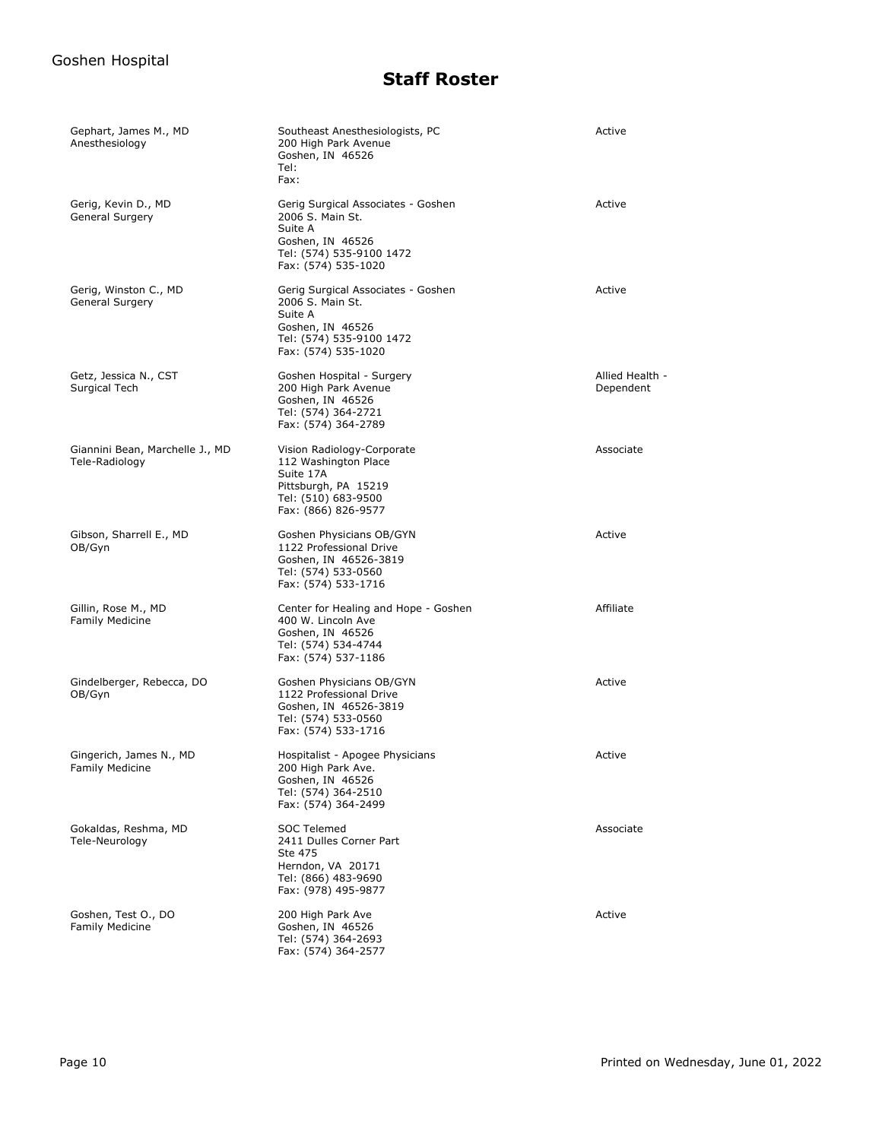| Gephart, James M., MD<br>Anesthesiology           | Southeast Anesthesiologists, PC<br>200 High Park Avenue<br>Goshen, IN 46526<br>Tel:<br>Fax:                                              | Active                       |
|---------------------------------------------------|------------------------------------------------------------------------------------------------------------------------------------------|------------------------------|
| Gerig, Kevin D., MD<br>General Surgery            | Gerig Surgical Associates - Goshen<br>2006 S. Main St.<br>Suite A<br>Goshen, IN 46526<br>Tel: (574) 535-9100 1472<br>Fax: (574) 535-1020 | Active                       |
| Gerig, Winston C., MD<br>General Surgery          | Gerig Surgical Associates - Goshen<br>2006 S. Main St.<br>Suite A<br>Goshen, IN 46526<br>Tel: (574) 535-9100 1472<br>Fax: (574) 535-1020 | Active                       |
| Getz, Jessica N., CST<br>Surgical Tech            | Goshen Hospital - Surgery<br>200 High Park Avenue<br>Goshen, IN 46526<br>Tel: (574) 364-2721<br>Fax: (574) 364-2789                      | Allied Health -<br>Dependent |
| Giannini Bean, Marchelle J., MD<br>Tele-Radiology | Vision Radiology-Corporate<br>112 Washington Place<br>Suite 17A<br>Pittsburgh, PA 15219<br>Tel: (510) 683-9500<br>Fax: (866) 826-9577    | Associate                    |
| Gibson, Sharrell E., MD<br>OB/Gyn                 | Goshen Physicians OB/GYN<br>1122 Professional Drive<br>Goshen, IN 46526-3819<br>Tel: (574) 533-0560<br>Fax: (574) 533-1716               | Active                       |
| Gillin, Rose M., MD<br><b>Family Medicine</b>     | Center for Healing and Hope - Goshen<br>400 W. Lincoln Ave<br>Goshen, IN 46526<br>Tel: (574) 534-4744<br>Fax: (574) 537-1186             | Affiliate                    |
| Gindelberger, Rebecca, DO<br>OB/Gyn               | Goshen Physicians OB/GYN<br>1122 Professional Drive<br>Goshen, IN 46526-3819<br>Tel: (574) 533-0560<br>Fax: (574) 533-1716               | Active                       |
| Gingerich, James N., MD<br><b>Family Medicine</b> | Hospitalist - Apogee Physicians<br>200 High Park Ave.<br>Goshen, IN 46526<br>Tel: (574) 364-2510<br>Fax: (574) 364-2499                  | Active                       |
| Gokaldas, Reshma, MD<br>Tele-Neurology            | <b>SOC Telemed</b><br>2411 Dulles Corner Part<br>Ste 475<br>Herndon, VA 20171<br>Tel: (866) 483-9690<br>Fax: (978) 495-9877              | Associate                    |
| Goshen, Test O., DO<br>Family Medicine            | 200 High Park Ave<br>Goshen, IN 46526<br>Tel: (574) 364-2693<br>Fax: (574) 364-2577                                                      | Active                       |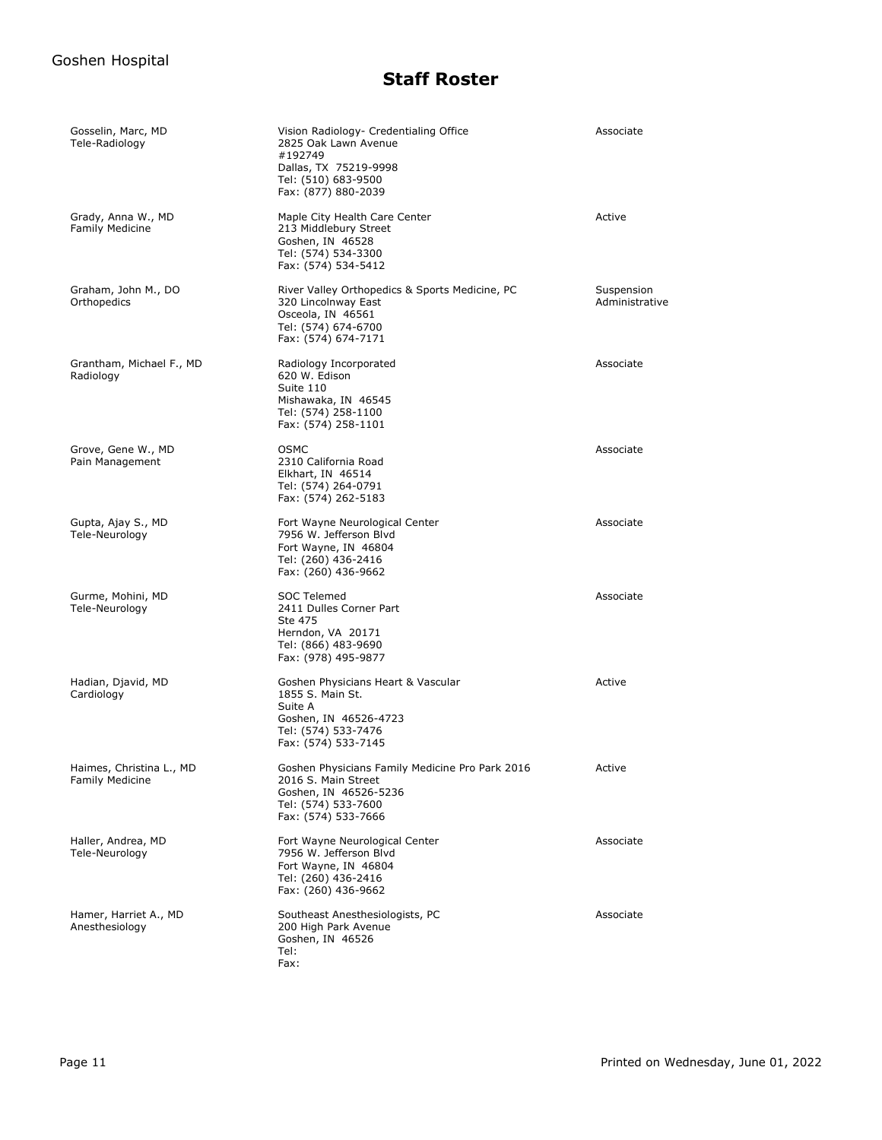| Gosselin, Marc, MD<br>Tele-Radiology               | Vision Radiology- Credentialing Office<br>2825 Oak Lawn Avenue<br>#192749<br>Dallas, TX 75219-9998<br>Tel: (510) 683-9500<br>Fax: (877) 880-2039 | Associate                    |
|----------------------------------------------------|--------------------------------------------------------------------------------------------------------------------------------------------------|------------------------------|
| Grady, Anna W., MD<br><b>Family Medicine</b>       | Maple City Health Care Center<br>213 Middlebury Street<br>Goshen, IN 46528<br>Tel: (574) 534-3300<br>Fax: (574) 534-5412                         | Active                       |
| Graham, John M., DO<br>Orthopedics                 | River Valley Orthopedics & Sports Medicine, PC<br>320 Lincolnway East<br>Osceola, IN 46561<br>Tel: (574) 674-6700<br>Fax: (574) 674-7171         | Suspension<br>Administrative |
| Grantham, Michael F., MD<br>Radiology              | Radiology Incorporated<br>620 W. Edison<br>Suite 110<br>Mishawaka, IN 46545<br>Tel: (574) 258-1100<br>Fax: (574) 258-1101                        | Associate                    |
| Grove, Gene W., MD<br>Pain Management              | <b>OSMC</b><br>2310 California Road<br>Elkhart, IN 46514<br>Tel: (574) 264-0791<br>Fax: (574) 262-5183                                           | Associate                    |
| Gupta, Ajay S., MD<br>Tele-Neurology               | Fort Wayne Neurological Center<br>7956 W. Jefferson Blvd<br>Fort Wayne, IN 46804<br>Tel: (260) 436-2416<br>Fax: (260) 436-9662                   | Associate                    |
| Gurme, Mohini, MD<br>Tele-Neurology                | SOC Telemed<br>2411 Dulles Corner Part<br>Ste 475<br>Herndon, VA 20171<br>Tel: (866) 483-9690<br>Fax: (978) 495-9877                             | Associate                    |
| Hadian, Djavid, MD<br>Cardiology                   | Goshen Physicians Heart & Vascular<br>1855 S. Main St.<br>Suite A<br>Goshen, IN 46526-4723<br>Tel: (574) 533-7476<br>Fax: (574) 533-7145         | Active                       |
| Haimes, Christina L., MD<br><b>Family Medicine</b> | Goshen Physicians Family Medicine Pro Park 2016<br>2016 S. Main Street<br>Goshen, IN 46526-5236<br>Tel: (574) 533-7600<br>Fax: (574) 533-7666    | Active                       |
| Haller, Andrea, MD<br>Tele-Neurology               | Fort Wayne Neurological Center<br>7956 W. Jefferson Blvd<br>Fort Wayne, IN 46804<br>Tel: (260) 436-2416<br>Fax: (260) 436-9662                   | Associate                    |
| Hamer, Harriet A., MD<br>Anesthesiology            | Southeast Anesthesiologists, PC<br>200 High Park Avenue<br>Goshen, IN 46526<br>Tel:<br>Fax:                                                      | Associate                    |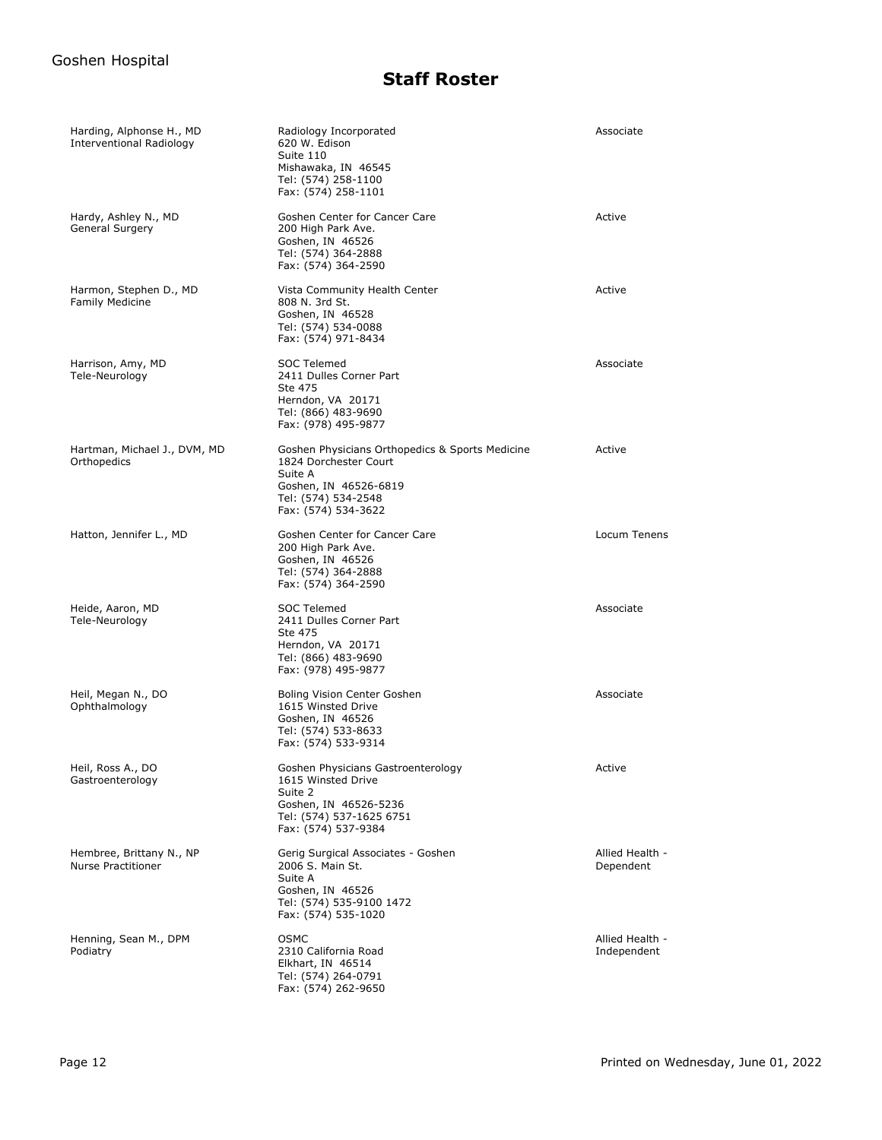| Harding, Alphonse H., MD<br>Interventional Radiology  | Radiology Incorporated<br>620 W. Edison<br>Suite 110<br>Mishawaka, IN 46545<br>Tel: (574) 258-1100<br>Fax: (574) 258-1101                                  | Associate                      |
|-------------------------------------------------------|------------------------------------------------------------------------------------------------------------------------------------------------------------|--------------------------------|
| Hardy, Ashley N., MD<br>General Surgery               | Goshen Center for Cancer Care<br>200 High Park Ave.<br>Goshen, IN 46526<br>Tel: (574) 364-2888<br>Fax: (574) 364-2590                                      | Active                         |
| Harmon, Stephen D., MD<br><b>Family Medicine</b>      | Vista Community Health Center<br>808 N. 3rd St.<br>Goshen, IN 46528<br>Tel: (574) 534-0088<br>Fax: (574) 971-8434                                          | Active                         |
| Harrison, Amy, MD<br>Tele-Neurology                   | SOC Telemed<br>2411 Dulles Corner Part<br>Ste 475<br>Herndon, VA 20171<br>Tel: (866) 483-9690<br>Fax: (978) 495-9877                                       | Associate                      |
| Hartman, Michael J., DVM, MD<br>Orthopedics           | Goshen Physicians Orthopedics & Sports Medicine<br>1824 Dorchester Court<br>Suite A<br>Goshen, IN 46526-6819<br>Tel: (574) 534-2548<br>Fax: (574) 534-3622 | Active                         |
| Hatton, Jennifer L., MD                               | Goshen Center for Cancer Care<br>200 High Park Ave.<br>Goshen, IN 46526<br>Tel: (574) 364-2888<br>Fax: (574) 364-2590                                      | Locum Tenens                   |
| Heide, Aaron, MD<br>Tele-Neurology                    | SOC Telemed<br>2411 Dulles Corner Part<br>Ste 475<br>Herndon, VA 20171<br>Tel: (866) 483-9690<br>Fax: (978) 495-9877                                       | Associate                      |
| Heil, Megan N., DO<br>Ophthalmology                   | Boling Vision Center Goshen<br>1615 Winsted Drive<br>Goshen, IN 46526<br>Tel: (574) 533-8633<br>Fax: (574) 533-9314                                        | Associate                      |
| Heil, Ross A., DO<br>Gastroenterology                 | Goshen Physicians Gastroenterology<br>1615 Winsted Drive<br>Suite 2<br>Goshen, IN 46526-5236<br>Tel: (574) 537-1625 6751<br>Fax: (574) 537-9384            | Active                         |
| Hembree, Brittany N., NP<br><b>Nurse Practitioner</b> | Gerig Surgical Associates - Goshen<br>2006 S. Main St.<br>Suite A<br>Goshen, IN 46526<br>Tel: (574) 535-9100 1472<br>Fax: (574) 535-1020                   | Allied Health -<br>Dependent   |
| Henning, Sean M., DPM<br>Podiatry                     | <b>OSMC</b><br>2310 California Road<br>Elkhart, IN 46514<br>Tel: (574) 264-0791<br>Fax: (574) 262-9650                                                     | Allied Health -<br>Independent |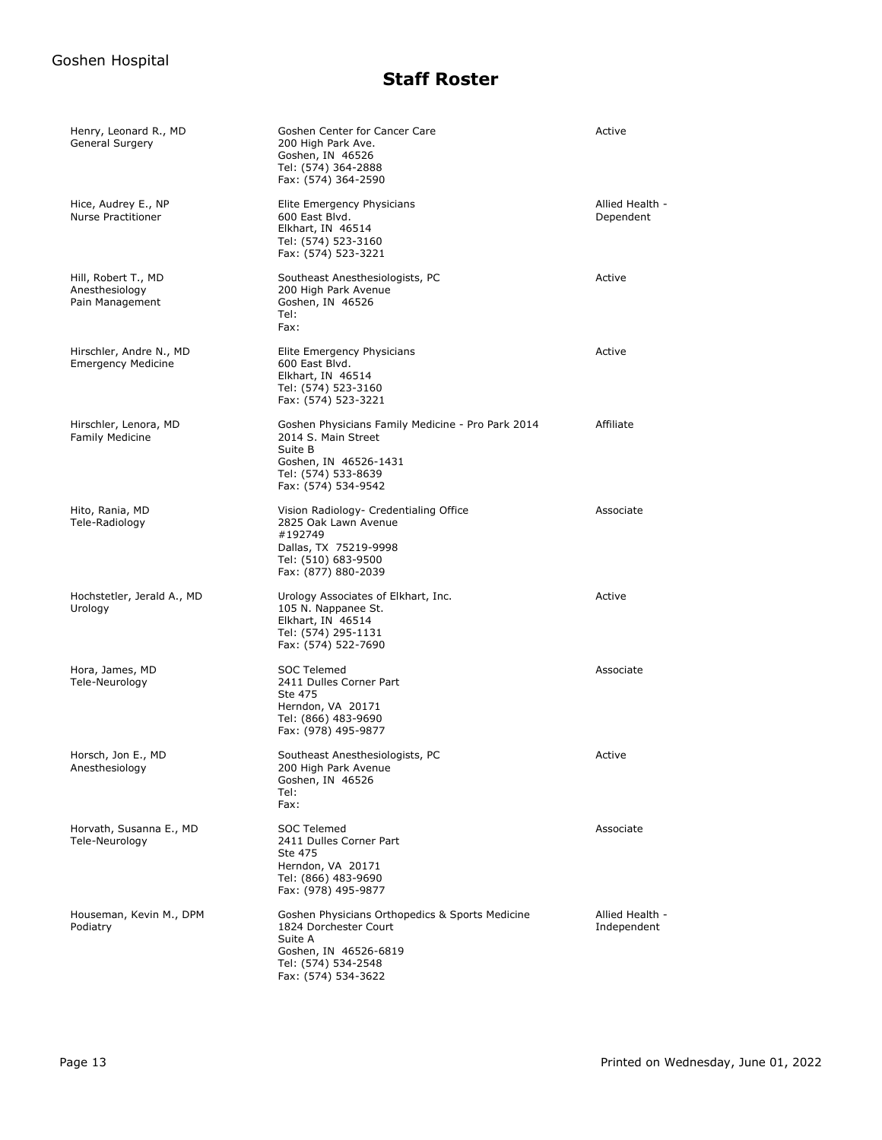| Henry, Leonard R., MD<br>General Surgery                 | Goshen Center for Cancer Care<br>200 High Park Ave.<br>Goshen, IN 46526<br>Tel: (574) 364-2888<br>Fax: (574) 364-2590                                      | Active                         |
|----------------------------------------------------------|------------------------------------------------------------------------------------------------------------------------------------------------------------|--------------------------------|
| Hice, Audrey E., NP<br>Nurse Practitioner                | Elite Emergency Physicians<br>600 East Blvd.<br>Elkhart, IN 46514<br>Tel: (574) 523-3160<br>Fax: (574) 523-3221                                            | Allied Health -<br>Dependent   |
| Hill, Robert T., MD<br>Anesthesiology<br>Pain Management | Southeast Anesthesiologists, PC<br>200 High Park Avenue<br>Goshen, IN 46526<br>Tel:<br>Fax:                                                                | Active                         |
| Hirschler, Andre N., MD<br><b>Emergency Medicine</b>     | Elite Emergency Physicians<br>600 East Blvd.<br>Elkhart, IN 46514<br>Tel: (574) 523-3160<br>Fax: (574) 523-3221                                            | Active                         |
| Hirschler, Lenora, MD<br><b>Family Medicine</b>          | Goshen Physicians Family Medicine - Pro Park 2014<br>2014 S. Main Street<br>Suite B<br>Goshen, IN 46526-1431<br>Tel: (574) 533-8639<br>Fax: (574) 534-9542 | Affiliate                      |
| Hito, Rania, MD<br>Tele-Radiology                        | Vision Radiology- Credentialing Office<br>2825 Oak Lawn Avenue<br>#192749<br>Dallas, TX 75219-9998<br>Tel: (510) 683-9500<br>Fax: (877) 880-2039           | Associate                      |
| Hochstetler, Jerald A., MD<br>Urology                    | Urology Associates of Elkhart, Inc.<br>105 N. Nappanee St.<br>Elkhart, IN 46514<br>Tel: (574) 295-1131<br>Fax: (574) 522-7690                              | Active                         |
| Hora, James, MD<br>Tele-Neurology                        | SOC Telemed<br>2411 Dulles Corner Part<br>Ste 475<br>Herndon, VA 20171<br>Tel: (866) 483-9690<br>Fax: (978) 495-9877                                       | Associate                      |
| Horsch, Jon E., MD<br>Anesthesiology                     | Southeast Anesthesiologists, PC<br>200 High Park Avenue<br>Goshen, IN 46526<br>Tel:<br>Fax:                                                                | Active                         |
| Horvath, Susanna E., MD<br>Tele-Neurology                | SOC Telemed<br>2411 Dulles Corner Part<br>Ste 475<br>Herndon, VA 20171<br>Tel: (866) 483-9690<br>Fax: (978) 495-9877                                       | Associate                      |
| Houseman, Kevin M., DPM<br>Podiatry                      | Goshen Physicians Orthopedics & Sports Medicine<br>1824 Dorchester Court<br>Suite A<br>Goshen, IN 46526-6819<br>Tel: (574) 534-2548<br>Fax: (574) 534-3622 | Allied Health -<br>Independent |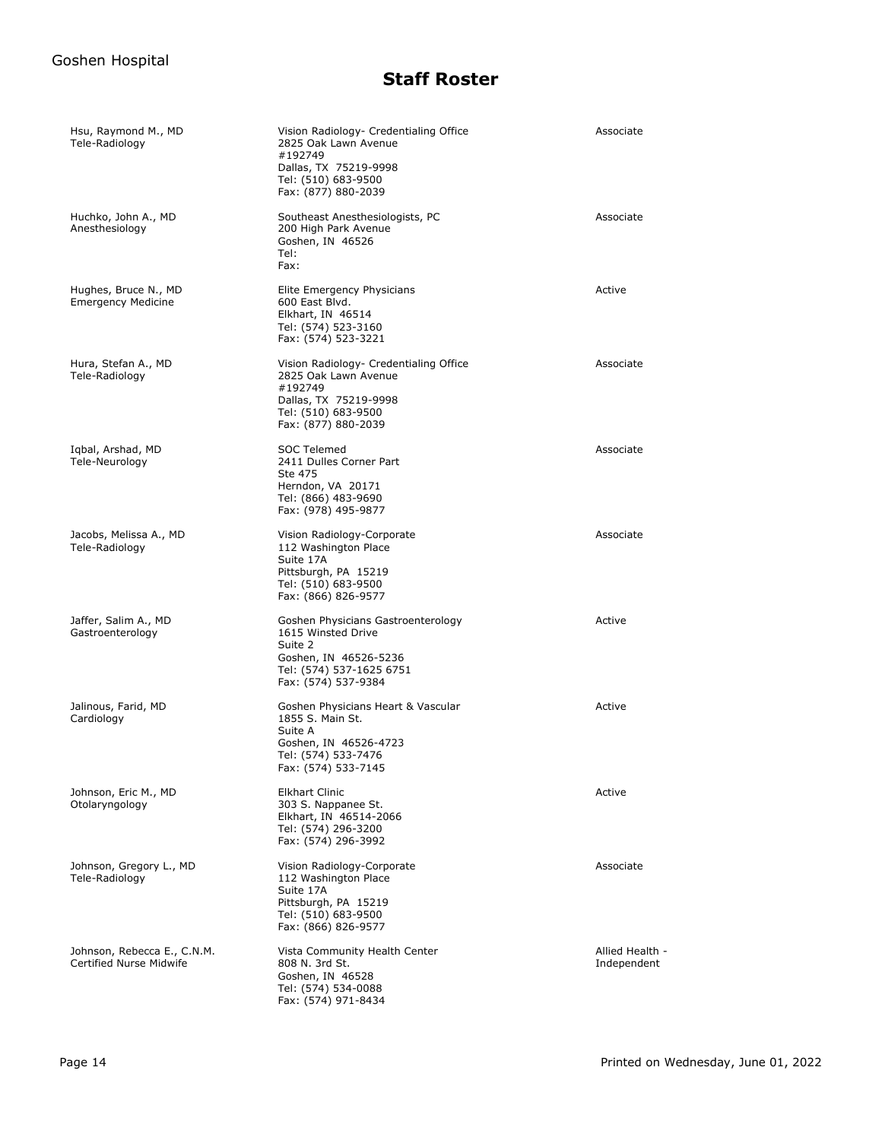| Hsu, Raymond M., MD<br>Tele-Radiology                         | Vision Radiology- Credentialing Office<br>2825 Oak Lawn Avenue<br>#192749<br>Dallas, TX 75219-9998<br>Tel: (510) 683-9500<br>Fax: (877) 880-2039 | Associate                      |
|---------------------------------------------------------------|--------------------------------------------------------------------------------------------------------------------------------------------------|--------------------------------|
| Huchko, John A., MD<br>Anesthesiology                         | Southeast Anesthesiologists, PC<br>200 High Park Avenue<br>Goshen, IN 46526<br>Tel:<br>Fax:                                                      | Associate                      |
| Hughes, Bruce N., MD<br><b>Emergency Medicine</b>             | Elite Emergency Physicians<br>600 East Blvd.<br>Elkhart, IN 46514<br>Tel: (574) 523-3160<br>Fax: (574) 523-3221                                  | Active                         |
| Hura, Stefan A., MD<br>Tele-Radiology                         | Vision Radiology- Credentialing Office<br>2825 Oak Lawn Avenue<br>#192749<br>Dallas, TX 75219-9998<br>Tel: (510) 683-9500<br>Fax: (877) 880-2039 | Associate                      |
| Iqbal, Arshad, MD<br>Tele-Neurology                           | SOC Telemed<br>2411 Dulles Corner Part<br>Ste 475<br>Herndon, VA 20171<br>Tel: (866) 483-9690<br>Fax: (978) 495-9877                             | Associate                      |
| Jacobs, Melissa A., MD<br>Tele-Radiology                      | Vision Radiology-Corporate<br>112 Washington Place<br>Suite 17A<br>Pittsburgh, PA 15219<br>Tel: (510) 683-9500<br>Fax: (866) 826-9577            | Associate                      |
| Jaffer, Salim A., MD<br>Gastroenterology                      | Goshen Physicians Gastroenterology<br>1615 Winsted Drive<br>Suite 2<br>Goshen, IN 46526-5236<br>Tel: (574) 537-1625 6751<br>Fax: (574) 537-9384  | Active                         |
| Jalinous, Farid, MD<br>Cardiology                             | Goshen Physicians Heart & Vascular<br>1855 S. Main St.<br>Suite A<br>Goshen, IN 46526-4723<br>Tel: (574) 533-7476<br>Fax: (574) 533-7145         | Active                         |
| Johnson, Eric M., MD<br>Otolaryngology                        | Elkhart Clinic<br>303 S. Nappanee St.<br>Elkhart, IN 46514-2066<br>Tel: (574) 296-3200<br>Fax: (574) 296-3992                                    | Active                         |
| Johnson, Gregory L., MD<br>Tele-Radiology                     | Vision Radiology-Corporate<br>112 Washington Place<br>Suite 17A<br>Pittsburgh, PA 15219<br>Tel: (510) 683-9500<br>Fax: (866) 826-9577            | Associate                      |
| Johnson, Rebecca E., C.N.M.<br><b>Certified Nurse Midwife</b> | Vista Community Health Center<br>808 N. 3rd St.<br>Goshen, IN 46528<br>Tel: (574) 534-0088<br>Fax: (574) 971-8434                                | Allied Health -<br>Independent |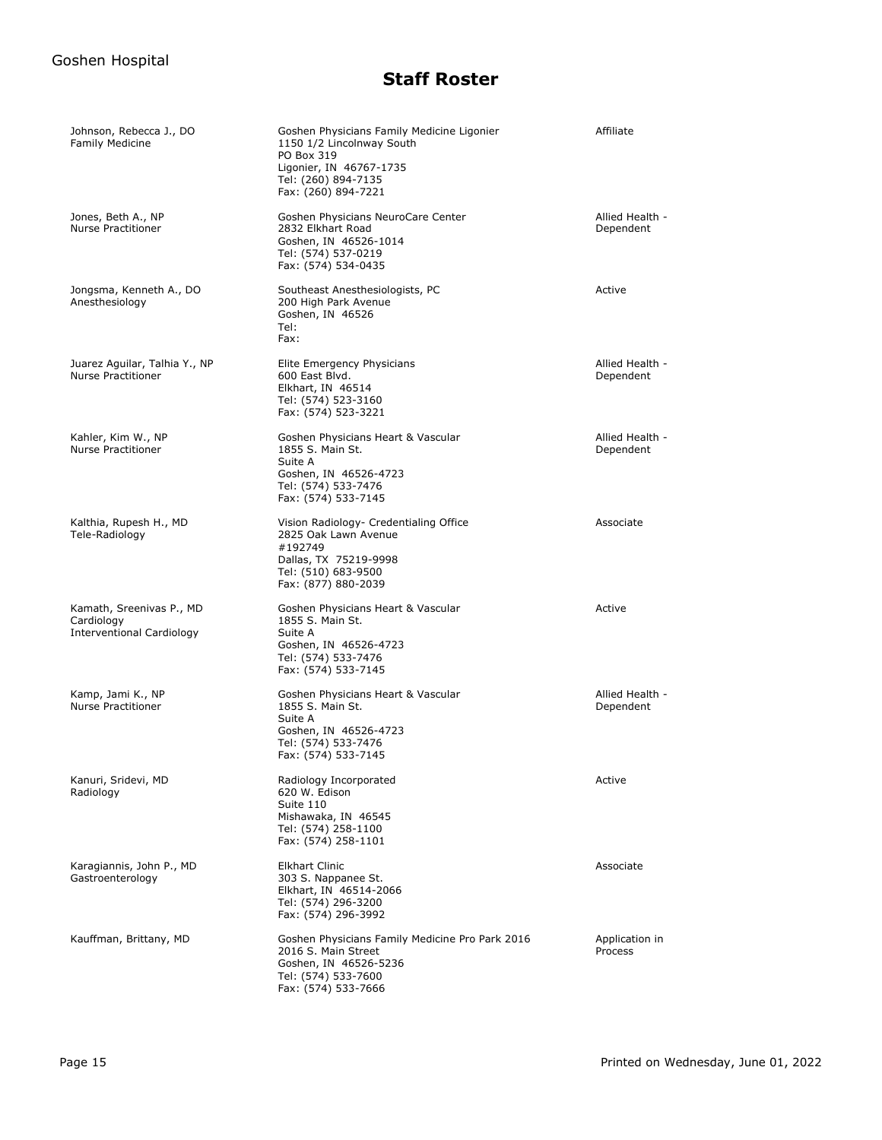| Johnson, Rebecca J., DO<br><b>Family Medicine</b>                          | Goshen Physicians Family Medicine Ligonier<br>1150 1/2 Lincolnway South<br>PO Box 319<br>Ligonier, IN 46767-1735<br>Tel: (260) 894-7135<br>Fax: (260) 894-7221 | Affiliate                    |
|----------------------------------------------------------------------------|----------------------------------------------------------------------------------------------------------------------------------------------------------------|------------------------------|
| Jones, Beth A., NP<br><b>Nurse Practitioner</b>                            | Goshen Physicians NeuroCare Center<br>2832 Elkhart Road<br>Goshen, IN 46526-1014<br>Tel: (574) 537-0219<br>Fax: (574) 534-0435                                 | Allied Health -<br>Dependent |
| Jongsma, Kenneth A., DO<br>Anesthesiology                                  | Southeast Anesthesiologists, PC<br>200 High Park Avenue<br>Goshen, IN 46526<br>Tel:<br>Fax:                                                                    | Active                       |
| Juarez Aguilar, Talhia Y., NP<br><b>Nurse Practitioner</b>                 | Elite Emergency Physicians<br>600 East Blvd.<br>Elkhart, IN 46514<br>Tel: (574) 523-3160<br>Fax: (574) 523-3221                                                | Allied Health -<br>Dependent |
| Kahler, Kim W., NP<br><b>Nurse Practitioner</b>                            | Goshen Physicians Heart & Vascular<br>1855 S. Main St.<br>Suite A<br>Goshen, IN 46526-4723<br>Tel: (574) 533-7476<br>Fax: (574) 533-7145                       | Allied Health -<br>Dependent |
| Kalthia, Rupesh H., MD<br>Tele-Radiology                                   | Vision Radiology- Credentialing Office<br>2825 Oak Lawn Avenue<br>#192749<br>Dallas, TX 75219-9998<br>Tel: (510) 683-9500<br>Fax: (877) 880-2039               | Associate                    |
| Kamath, Sreenivas P., MD<br>Cardiology<br><b>Interventional Cardiology</b> | Goshen Physicians Heart & Vascular<br>1855 S. Main St.<br>Suite A<br>Goshen, IN 46526-4723<br>Tel: (574) 533-7476<br>Fax: (574) 533-7145                       | Active                       |
| Kamp, Jami K., NP<br>Nurse Practitioner                                    | Goshen Physicians Heart & Vascular<br>1855 S. Main St.<br>Suite A<br>Goshen, IN 46526-4723<br>Tel: (574) 533-7476<br>Fax: (574) 533-7145                       | Allied Health -<br>Dependent |
| Kanuri, Sridevi, MD<br>Radiology                                           | Radiology Incorporated<br>620 W. Edison<br>Suite 110<br>Mishawaka, IN 46545<br>Tel: (574) 258-1100<br>Fax: (574) 258-1101                                      | Active                       |
| Karagiannis, John P., MD<br>Gastroenterology                               | <b>Elkhart Clinic</b><br>303 S. Nappanee St.<br>Elkhart, IN 46514-2066<br>Tel: (574) 296-3200<br>Fax: (574) 296-3992                                           | Associate                    |
| Kauffman, Brittany, MD                                                     | Goshen Physicians Family Medicine Pro Park 2016<br>2016 S. Main Street<br>Goshen, IN 46526-5236<br>Tel: (574) 533-7600<br>Fax: (574) 533-7666                  | Application in<br>Process    |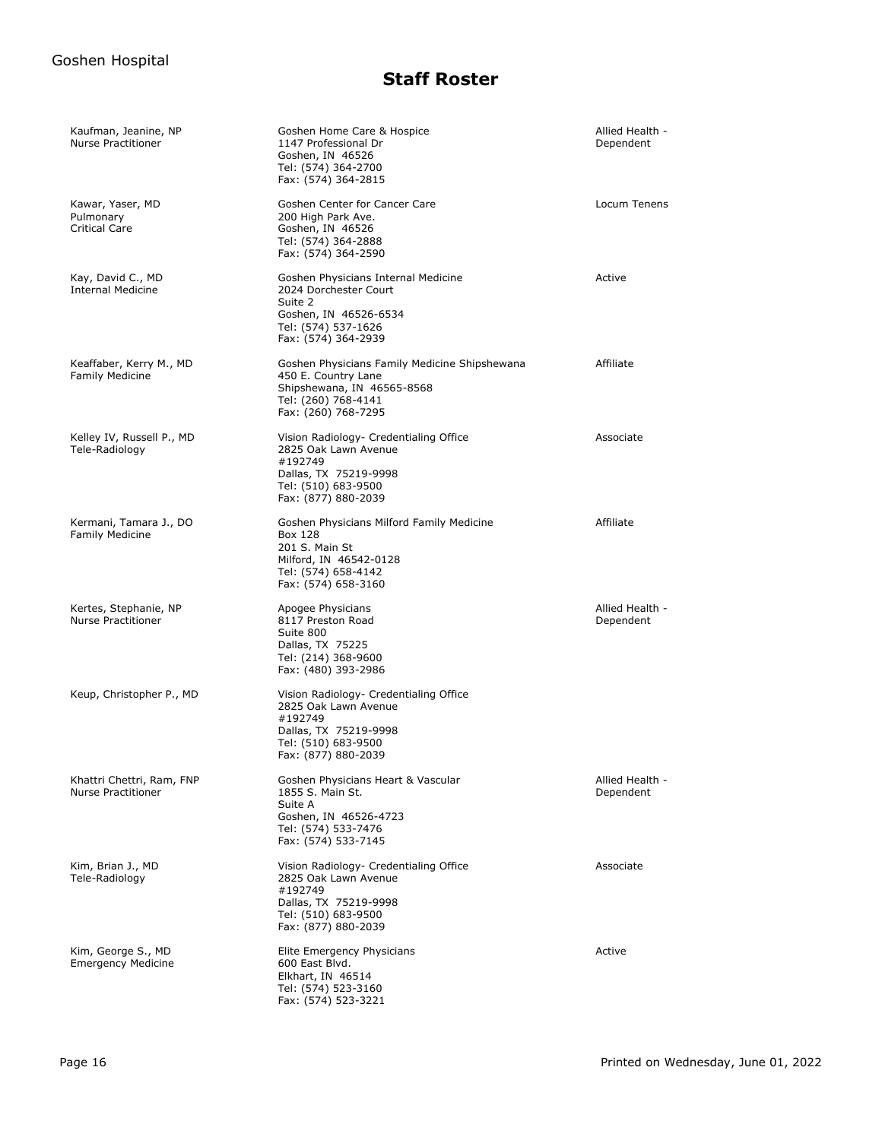| Kaufman, Jeanine, NP<br><b>Nurse Practitioner</b>      | Goshen Home Care & Hospice<br>1147 Professional Dr<br>Goshen, IN 46526<br>Tel: (574) 364-2700<br>Fax: (574) 364-2815                             | Allied Health -<br>Dependent |
|--------------------------------------------------------|--------------------------------------------------------------------------------------------------------------------------------------------------|------------------------------|
| Kawar, Yaser, MD<br>Pulmonary<br><b>Critical Care</b>  | Goshen Center for Cancer Care<br>200 High Park Ave.<br>Goshen, IN 46526<br>Tel: (574) 364-2888<br>Fax: (574) 364-2590                            | Locum Tenens                 |
| Kay, David C., MD<br><b>Internal Medicine</b>          | Goshen Physicians Internal Medicine<br>2024 Dorchester Court<br>Suite 2<br>Goshen, IN 46526-6534<br>Tel: (574) 537-1626<br>Fax: (574) 364-2939   | Active                       |
| Keaffaber, Kerry M., MD<br><b>Family Medicine</b>      | Goshen Physicians Family Medicine Shipshewana<br>450 E. Country Lane<br>Shipshewana, IN 46565-8568<br>Tel: (260) 768-4141<br>Fax: (260) 768-7295 | Affiliate                    |
| Kelley IV, Russell P., MD<br>Tele-Radiology            | Vision Radiology- Credentialing Office<br>2825 Oak Lawn Avenue<br>#192749<br>Dallas, TX 75219-9998<br>Tel: (510) 683-9500<br>Fax: (877) 880-2039 | Associate                    |
| Kermani, Tamara J., DO<br><b>Family Medicine</b>       | Goshen Physicians Milford Family Medicine<br>Box 128<br>201 S. Main St<br>Milford, IN 46542-0128<br>Tel: (574) 658-4142<br>Fax: (574) 658-3160   | Affiliate                    |
| Kertes, Stephanie, NP<br><b>Nurse Practitioner</b>     | Apogee Physicians<br>8117 Preston Road<br>Suite 800<br>Dallas, TX 75225<br>Tel: (214) 368-9600<br>Fax: (480) 393-2986                            | Allied Health -<br>Dependent |
| Keup, Christopher P., MD                               | Vision Radiology- Credentialing Office<br>2825 Oak Lawn Avenue<br>#192749<br>Dallas, TX 75219-9998<br>Tel: (510) 683-9500<br>Fax: (877) 880-2039 |                              |
| Khattri Chettri, Ram, FNP<br><b>Nurse Practitioner</b> | Goshen Physicians Heart & Vascular<br>1855 S. Main St.<br>Suite A<br>Goshen, IN 46526-4723<br>Tel: (574) 533-7476<br>Fax: (574) 533-7145         | Allied Health -<br>Dependent |
| Kim, Brian J., MD<br>Tele-Radiology                    | Vision Radiology- Credentialing Office<br>2825 Oak Lawn Avenue<br>#192749<br>Dallas, TX 75219-9998<br>Tel: (510) 683-9500<br>Fax: (877) 880-2039 | Associate                    |
| Kim, George S., MD<br><b>Emergency Medicine</b>        | Elite Emergency Physicians<br>600 East Blvd.<br>Elkhart, IN 46514<br>Tel: (574) 523-3160<br>Fax: (574) 523-3221                                  | Active                       |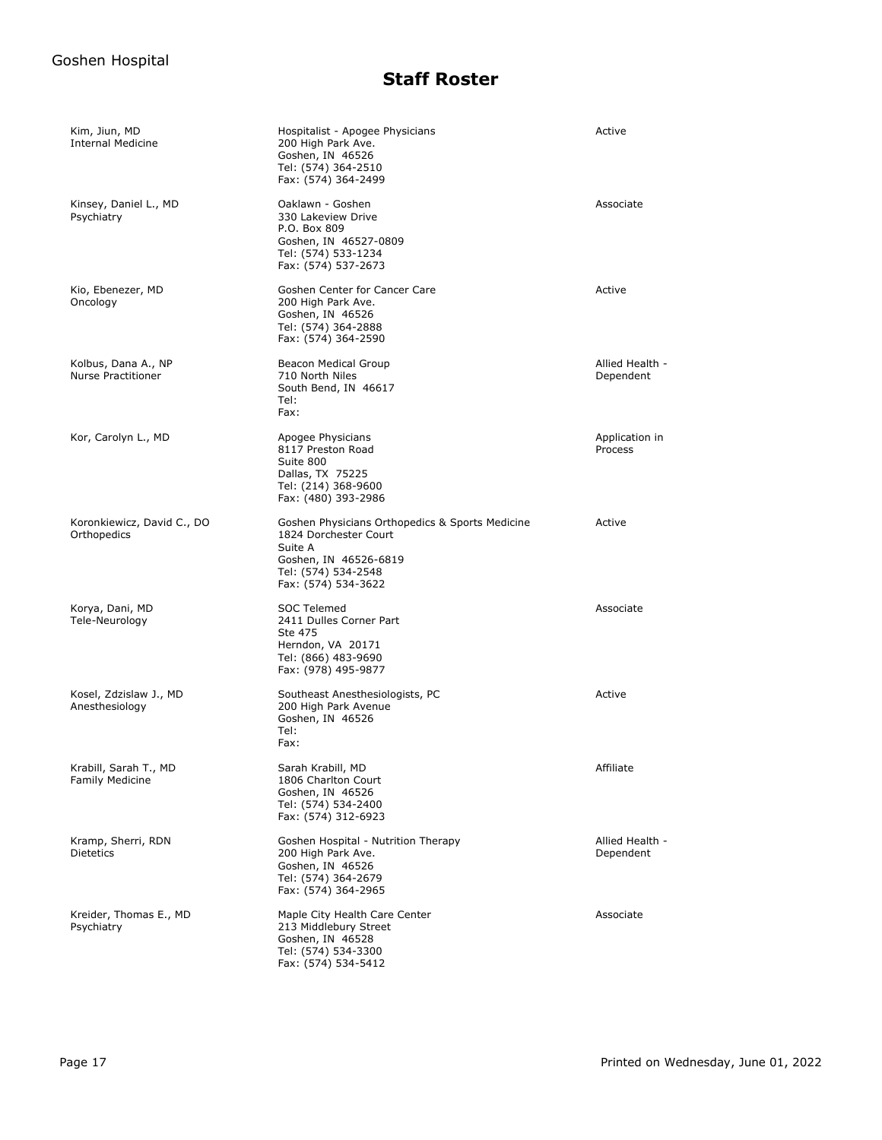| Kim, Jiun, MD<br><b>Internal Medicine</b>       | Hospitalist - Apogee Physicians<br>200 High Park Ave.<br>Goshen, IN 46526<br>Tel: (574) 364-2510<br>Fax: (574) 364-2499                                    | Active                       |
|-------------------------------------------------|------------------------------------------------------------------------------------------------------------------------------------------------------------|------------------------------|
| Kinsey, Daniel L., MD<br>Psychiatry             | Oaklawn - Goshen<br>330 Lakeview Drive<br>P.O. Box 809<br>Goshen, IN 46527-0809<br>Tel: (574) 533-1234<br>Fax: (574) 537-2673                              | Associate                    |
| Kio, Ebenezer, MD<br>Oncology                   | Goshen Center for Cancer Care<br>200 High Park Ave.<br>Goshen, IN 46526<br>Tel: (574) 364-2888<br>Fax: (574) 364-2590                                      | Active                       |
| Kolbus, Dana A., NP<br>Nurse Practitioner       | Beacon Medical Group<br>710 North Niles<br>South Bend, IN 46617<br>Tel:<br>Fax:                                                                            | Allied Health -<br>Dependent |
| Kor, Carolyn L., MD                             | Apogee Physicians<br>8117 Preston Road<br>Suite 800<br>Dallas, TX 75225<br>Tel: (214) 368-9600<br>Fax: (480) 393-2986                                      | Application in<br>Process    |
| Koronkiewicz, David C., DO<br>Orthopedics       | Goshen Physicians Orthopedics & Sports Medicine<br>1824 Dorchester Court<br>Suite A<br>Goshen, IN 46526-6819<br>Tel: (574) 534-2548<br>Fax: (574) 534-3622 | Active                       |
| Korya, Dani, MD<br>Tele-Neurology               | SOC Telemed<br>2411 Dulles Corner Part<br>Ste 475<br>Herndon, VA 20171<br>Tel: (866) 483-9690<br>Fax: (978) 495-9877                                       | Associate                    |
| Kosel, Zdzislaw J., MD<br>Anesthesiology        | Southeast Anesthesiologists, PC<br>200 High Park Avenue<br>Goshen, IN 46526<br>Tel:<br>Fax:                                                                | Active                       |
| Krabill, Sarah T., MD<br><b>Family Medicine</b> | Sarah Krabill, MD<br>1806 Charlton Court<br>Goshen, IN 46526<br>Tel: (574) 534-2400<br>Fax: (574) 312-6923                                                 | Affiliate                    |
| Kramp, Sherri, RDN<br><b>Dietetics</b>          | Goshen Hospital - Nutrition Therapy<br>200 High Park Ave.<br>Goshen, IN 46526<br>Tel: (574) 364-2679<br>Fax: (574) 364-2965                                | Allied Health -<br>Dependent |
| Kreider, Thomas E., MD<br>Psychiatry            | Maple City Health Care Center<br>213 Middlebury Street<br>Goshen, IN 46528<br>Tel: (574) 534-3300<br>Fax: (574) 534-5412                                   | Associate                    |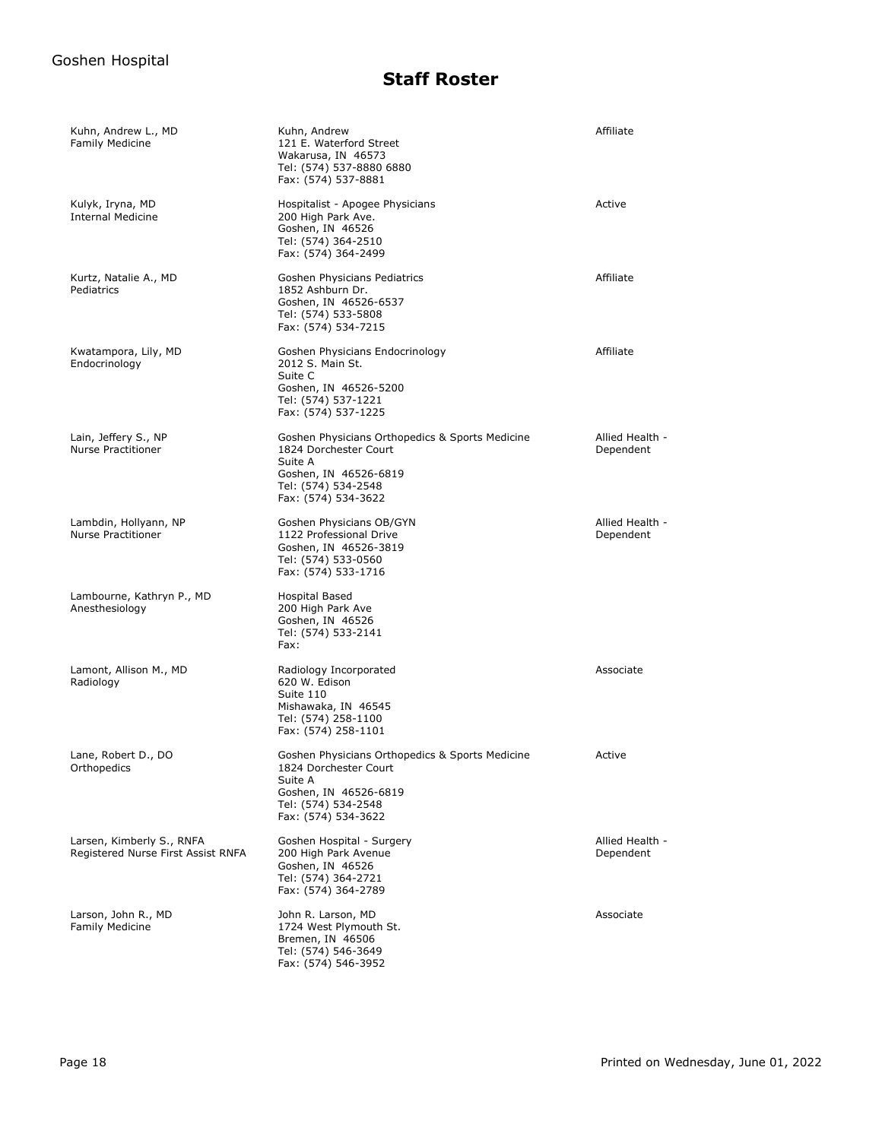| Kuhn, Andrew L., MD<br><b>Family Medicine</b>                   | Kuhn, Andrew<br>121 E. Waterford Street<br>Wakarusa, IN 46573<br>Tel: (574) 537-8880 6880<br>Fax: (574) 537-8881                                           | Affiliate                    |
|-----------------------------------------------------------------|------------------------------------------------------------------------------------------------------------------------------------------------------------|------------------------------|
| Kulyk, Iryna, MD<br><b>Internal Medicine</b>                    | Hospitalist - Apogee Physicians<br>200 High Park Ave.<br>Goshen, IN 46526<br>Tel: (574) 364-2510<br>Fax: (574) 364-2499                                    | Active                       |
| Kurtz, Natalie A., MD<br>Pediatrics                             | Goshen Physicians Pediatrics<br>1852 Ashburn Dr.<br>Goshen, IN 46526-6537<br>Tel: (574) 533-5808<br>Fax: (574) 534-7215                                    | Affiliate                    |
| Kwatampora, Lily, MD<br>Endocrinology                           | Goshen Physicians Endocrinology<br>2012 S. Main St.<br>Suite C<br>Goshen, IN 46526-5200<br>Tel: (574) 537-1221<br>Fax: (574) 537-1225                      | Affiliate                    |
| Lain, Jeffery S., NP<br>Nurse Practitioner                      | Goshen Physicians Orthopedics & Sports Medicine<br>1824 Dorchester Court<br>Suite A<br>Goshen, IN 46526-6819<br>Tel: (574) 534-2548<br>Fax: (574) 534-3622 | Allied Health -<br>Dependent |
| Lambdin, Hollyann, NP<br><b>Nurse Practitioner</b>              | Goshen Physicians OB/GYN<br>1122 Professional Drive<br>Goshen, IN 46526-3819<br>Tel: (574) 533-0560<br>Fax: (574) 533-1716                                 | Allied Health -<br>Dependent |
| Lambourne, Kathryn P., MD<br>Anesthesiology                     | Hospital Based<br>200 High Park Ave<br>Goshen, IN 46526<br>Tel: (574) 533-2141<br>Fax:                                                                     |                              |
| Lamont, Allison M., MD<br>Radiology                             | Radiology Incorporated<br>620 W. Edison<br>Suite 110<br>Mishawaka, IN 46545<br>Tel: (574) 258-1100<br>Fax: (574) 258-1101                                  | Associate                    |
| Lane, Robert D., DO<br>Orthopedics                              | Goshen Physicians Orthopedics & Sports Medicine<br>1824 Dorchester Court<br>Suite A<br>Goshen, IN 46526-6819<br>Tel: (574) 534-2548<br>Fax: (574) 534-3622 | Active                       |
| Larsen, Kimberly S., RNFA<br>Registered Nurse First Assist RNFA | Goshen Hospital - Surgery<br>200 High Park Avenue<br>Goshen, IN 46526<br>Tel: (574) 364-2721<br>Fax: (574) 364-2789                                        | Allied Health -<br>Dependent |
| Larson, John R., MD<br>Family Medicine                          | John R. Larson, MD<br>1724 West Plymouth St.<br>Bremen, IN 46506<br>Tel: (574) 546-3649<br>Fax: (574) 546-3952                                             | Associate                    |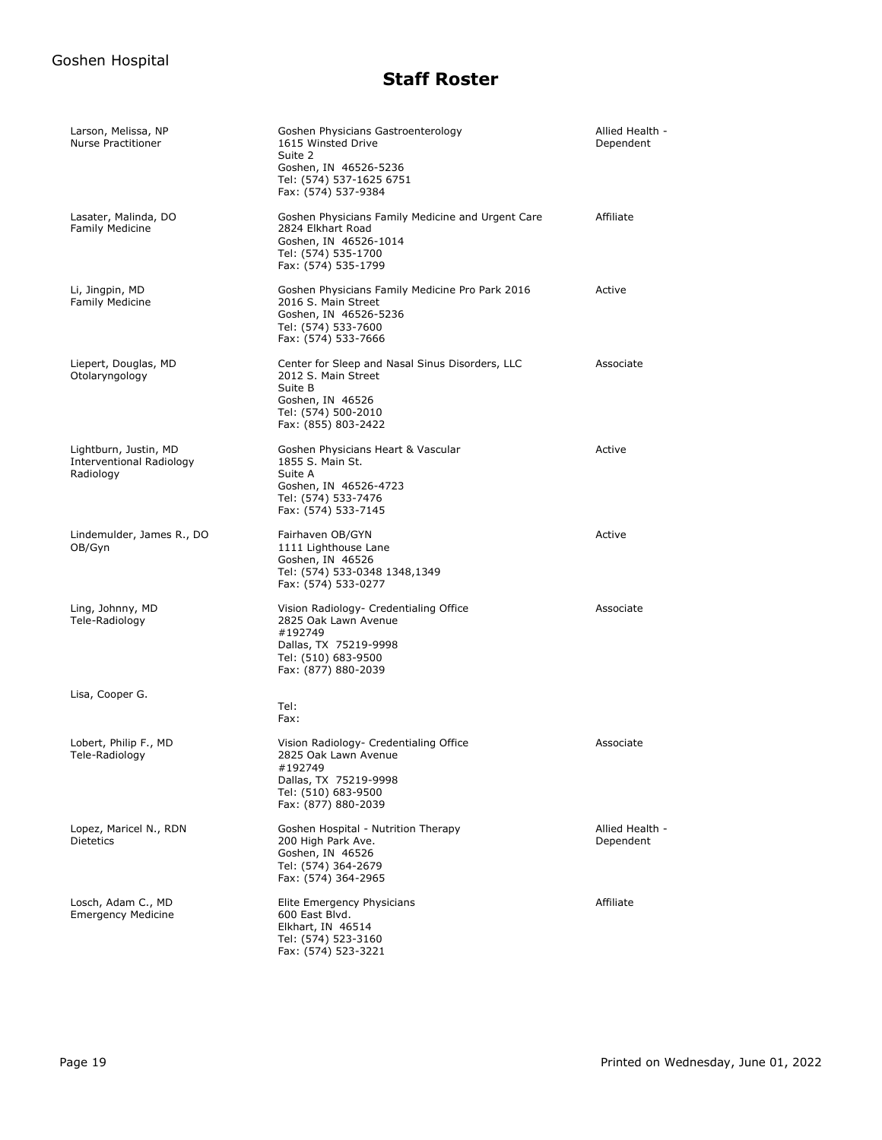| Larson, Melissa, NP<br><b>Nurse Practitioner</b>                      | Goshen Physicians Gastroenterology<br>1615 Winsted Drive<br>Suite 2<br>Goshen, IN 46526-5236<br>Tel: (574) 537-1625 6751<br>Fax: (574) 537-9384     | Allied Health -<br>Dependent |
|-----------------------------------------------------------------------|-----------------------------------------------------------------------------------------------------------------------------------------------------|------------------------------|
| Lasater, Malinda, DO<br><b>Family Medicine</b>                        | Goshen Physicians Family Medicine and Urgent Care<br>2824 Elkhart Road<br>Goshen, IN 46526-1014<br>Tel: (574) 535-1700<br>Fax: (574) 535-1799       | Affiliate                    |
| Li, Jingpin, MD<br><b>Family Medicine</b>                             | Goshen Physicians Family Medicine Pro Park 2016<br>2016 S. Main Street<br>Goshen, IN 46526-5236<br>Tel: (574) 533-7600<br>Fax: (574) 533-7666       | Active                       |
| Liepert, Douglas, MD<br>Otolaryngology                                | Center for Sleep and Nasal Sinus Disorders, LLC<br>2012 S. Main Street<br>Suite B<br>Goshen, IN 46526<br>Tel: (574) 500-2010<br>Fax: (855) 803-2422 | Associate                    |
| Lightburn, Justin, MD<br><b>Interventional Radiology</b><br>Radiology | Goshen Physicians Heart & Vascular<br>1855 S. Main St.<br>Suite A<br>Goshen, IN 46526-4723<br>Tel: (574) 533-7476<br>Fax: (574) 533-7145            | Active                       |
| Lindemulder, James R., DO<br>OB/Gyn                                   | Fairhaven OB/GYN<br>1111 Lighthouse Lane<br>Goshen, IN 46526<br>Tel: (574) 533-0348 1348,1349<br>Fax: (574) 533-0277                                | Active                       |
| Ling, Johnny, MD<br>Tele-Radiology                                    | Vision Radiology- Credentialing Office<br>2825 Oak Lawn Avenue<br>#192749<br>Dallas, TX 75219-9998<br>Tel: (510) 683-9500<br>Fax: (877) 880-2039    | Associate                    |
| Lisa, Cooper G.                                                       | Tel:<br>Fax:                                                                                                                                        |                              |
| Lobert, Philip F., MD<br>Tele-Radiology                               | Vision Radiology- Credentialing Office<br>2825 Oak Lawn Avenue<br>#192749<br>Dallas, TX 75219-9998<br>Tel: (510) 683-9500<br>Fax: (877) 880-2039    | Associate                    |
| Lopez, Maricel N., RDN<br><b>Dietetics</b>                            | Goshen Hospital - Nutrition Therapy<br>200 High Park Ave.<br>Goshen, IN 46526<br>Tel: (574) 364-2679<br>Fax: (574) 364-2965                         | Allied Health -<br>Dependent |
| Losch, Adam C., MD<br><b>Emergency Medicine</b>                       | Elite Emergency Physicians<br>600 East Blvd.<br>Elkhart, IN 46514<br>Tel: (574) 523-3160<br>Fax: (574) 523-3221                                     | Affiliate                    |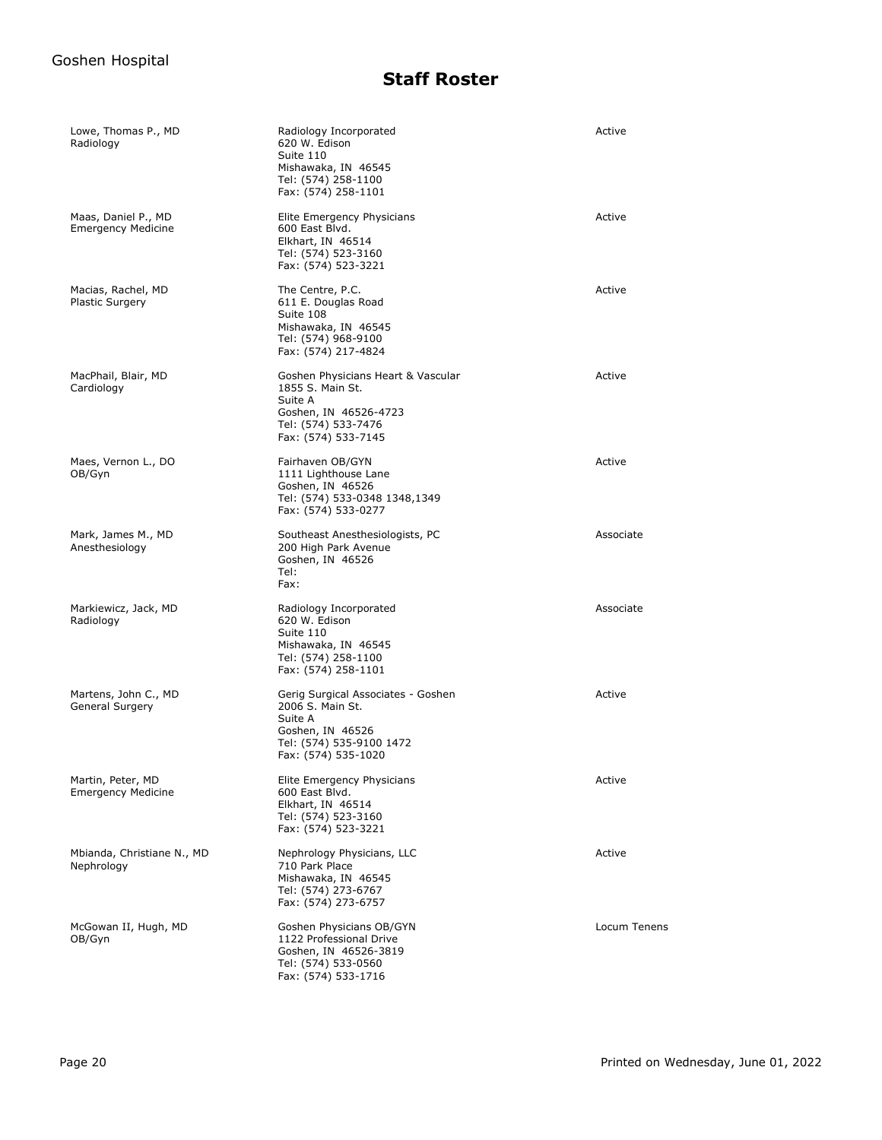| Lowe, Thomas P., MD<br>Radiology                 | Radiology Incorporated<br>620 W. Edison<br>Suite 110<br>Mishawaka, IN 46545<br>Tel: (574) 258-1100<br>Fax: (574) 258-1101                | Active       |
|--------------------------------------------------|------------------------------------------------------------------------------------------------------------------------------------------|--------------|
| Maas, Daniel P., MD<br><b>Emergency Medicine</b> | Elite Emergency Physicians<br>600 East Blvd.<br>Elkhart, IN 46514<br>Tel: (574) 523-3160<br>Fax: (574) 523-3221                          | Active       |
| Macias, Rachel, MD<br>Plastic Surgery            | The Centre, P.C.<br>611 E. Douglas Road<br>Suite 108<br>Mishawaka, IN 46545<br>Tel: (574) 968-9100<br>Fax: (574) 217-4824                | Active       |
| MacPhail, Blair, MD<br>Cardiology                | Goshen Physicians Heart & Vascular<br>1855 S. Main St.<br>Suite A<br>Goshen, IN 46526-4723<br>Tel: (574) 533-7476<br>Fax: (574) 533-7145 | Active       |
| Maes, Vernon L., DO<br>OB/Gyn                    | Fairhaven OB/GYN<br>1111 Lighthouse Lane<br>Goshen, IN 46526<br>Tel: (574) 533-0348 1348,1349<br>Fax: (574) 533-0277                     | Active       |
| Mark, James M., MD<br>Anesthesiology             | Southeast Anesthesiologists, PC<br>200 High Park Avenue<br>Goshen, IN 46526<br>Tel:<br>Fax:                                              | Associate    |
| Markiewicz, Jack, MD<br>Radiology                | Radiology Incorporated<br>620 W. Edison<br>Suite 110<br>Mishawaka, IN 46545<br>Tel: (574) 258-1100<br>Fax: (574) 258-1101                | Associate    |
| Martens, John C., MD<br>General Surgery          | Gerig Surgical Associates - Goshen<br>2006 S. Main St.<br>Suite A<br>Goshen, IN 46526<br>Tel: (574) 535-9100 1472<br>Fax: (574) 535-1020 | Active       |
| Martin, Peter, MD<br><b>Emergency Medicine</b>   | Elite Emergency Physicians<br>600 East Blvd.<br>Elkhart, IN 46514<br>Tel: (574) 523-3160<br>Fax: (574) 523-3221                          | Active       |
| Mbianda, Christiane N., MD<br>Nephrology         | Nephrology Physicians, LLC<br>710 Park Place<br>Mishawaka, IN 46545<br>Tel: (574) 273-6767<br>Fax: (574) 273-6757                        | Active       |
| McGowan II, Hugh, MD<br>OB/Gyn                   | Goshen Physicians OB/GYN<br>1122 Professional Drive<br>Goshen, IN 46526-3819<br>Tel: (574) 533-0560<br>Fax: (574) 533-1716               | Locum Tenens |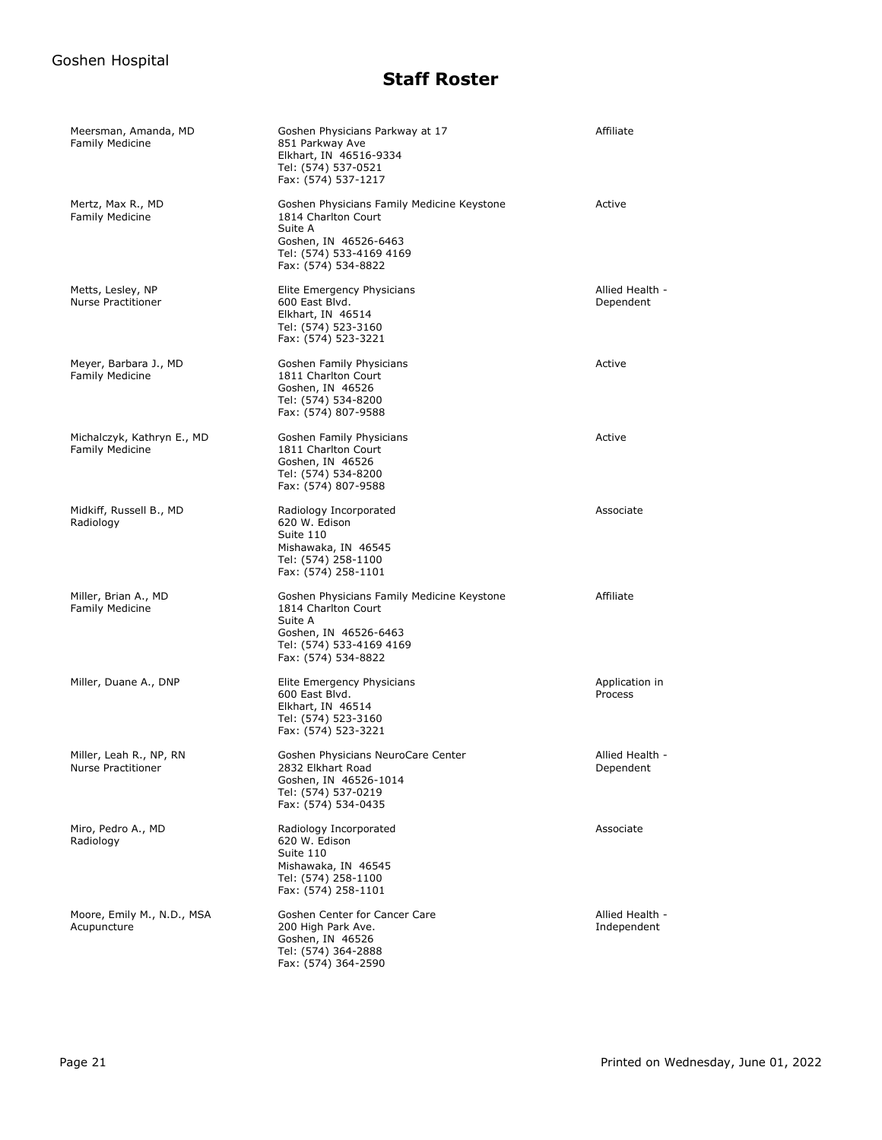| Meersman, Amanda, MD<br><b>Family Medicine</b>       | Goshen Physicians Parkway at 17<br>851 Parkway Ave<br>Elkhart, IN 46516-9334<br>Tel: (574) 537-0521<br>Fax: (574) 537-1217                               | Affiliate                      |
|------------------------------------------------------|----------------------------------------------------------------------------------------------------------------------------------------------------------|--------------------------------|
| Mertz, Max R., MD<br><b>Family Medicine</b>          | Goshen Physicians Family Medicine Keystone<br>1814 Charlton Court<br>Suite A<br>Goshen, IN 46526-6463<br>Tel: (574) 533-4169 4169<br>Fax: (574) 534-8822 | Active                         |
| Metts, Lesley, NP<br><b>Nurse Practitioner</b>       | Elite Emergency Physicians<br>600 East Blvd.<br>Elkhart, IN 46514<br>Tel: (574) 523-3160<br>Fax: (574) 523-3221                                          | Allied Health -<br>Dependent   |
| Meyer, Barbara J., MD<br><b>Family Medicine</b>      | Goshen Family Physicians<br>1811 Charlton Court<br>Goshen, IN 46526<br>Tel: (574) 534-8200<br>Fax: (574) 807-9588                                        | Active                         |
| Michalczyk, Kathryn E., MD<br><b>Family Medicine</b> | Goshen Family Physicians<br>1811 Charlton Court<br>Goshen, IN 46526<br>Tel: (574) 534-8200<br>Fax: (574) 807-9588                                        | Active                         |
| Midkiff, Russell B., MD<br>Radiology                 | Radiology Incorporated<br>620 W. Edison<br>Suite 110<br>Mishawaka, IN 46545<br>Tel: (574) 258-1100<br>Fax: (574) 258-1101                                | Associate                      |
| Miller, Brian A., MD<br><b>Family Medicine</b>       | Goshen Physicians Family Medicine Keystone<br>1814 Charlton Court<br>Suite A<br>Goshen, IN 46526-6463<br>Tel: (574) 533-4169 4169<br>Fax: (574) 534-8822 | Affiliate                      |
| Miller, Duane A., DNP                                | Elite Emergency Physicians<br>600 East Blvd.<br>Elkhart, IN 46514<br>Tel: (574) 523-3160<br>Fax: (574) 523-3221                                          | Application in<br>Process      |
| Miller, Leah R., NP, RN<br><b>Nurse Practitioner</b> | Goshen Physicians NeuroCare Center<br>2832 Elkhart Road<br>Goshen, IN 46526-1014<br>Tel: (574) 537-0219<br>Fax: (574) 534-0435                           | Allied Health -<br>Dependent   |
| Miro, Pedro A., MD<br>Radiology                      | Radiology Incorporated<br>620 W. Edison<br>Suite 110<br>Mishawaka, IN 46545<br>Tel: (574) 258-1100<br>Fax: (574) 258-1101                                | Associate                      |
| Moore, Emily M., N.D., MSA<br>Acupuncture            | Goshen Center for Cancer Care<br>200 High Park Ave.<br>Goshen, IN 46526<br>Tel: (574) 364-2888<br>Fax: (574) 364-2590                                    | Allied Health -<br>Independent |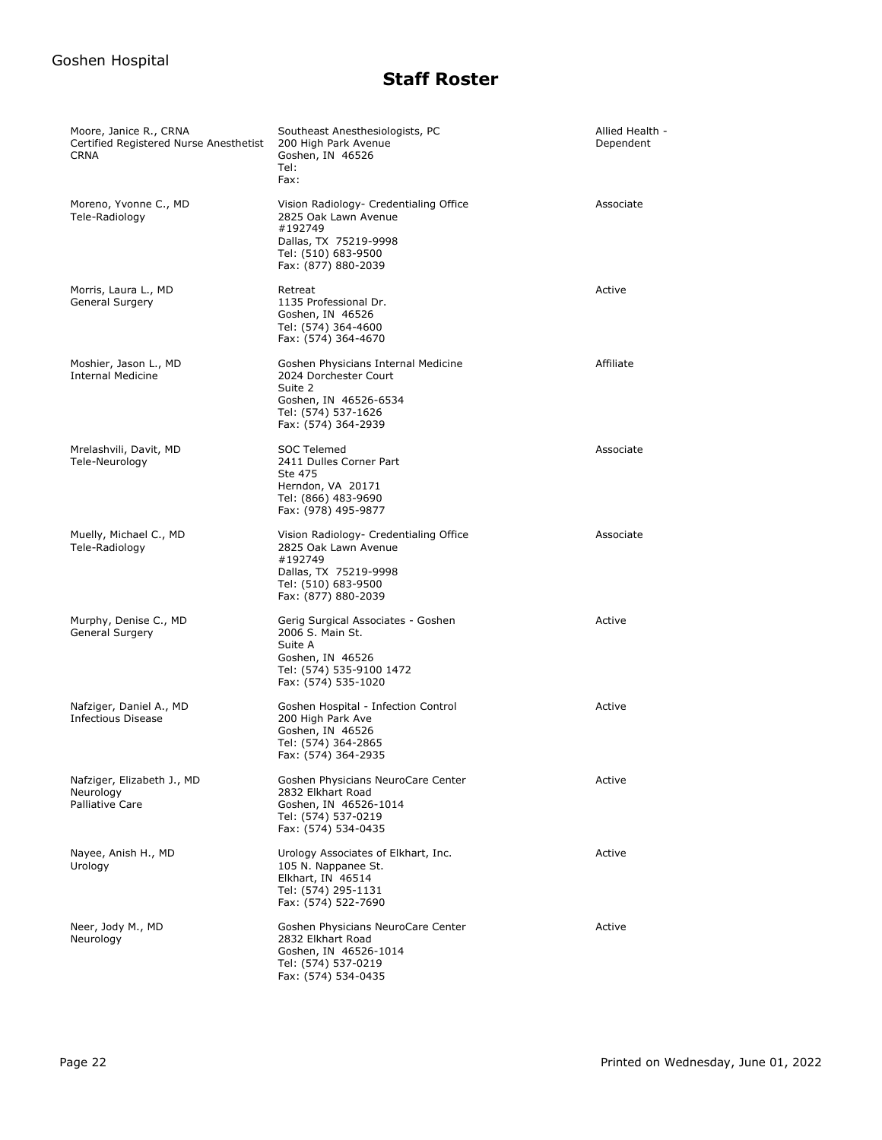| Moore, Janice R., CRNA<br>Certified Registered Nurse Anesthetist<br><b>CRNA</b> | Southeast Anesthesiologists, PC<br>200 High Park Avenue<br>Goshen, IN 46526<br>Tel:<br>Fax:                                                      | Allied Health -<br>Dependent |
|---------------------------------------------------------------------------------|--------------------------------------------------------------------------------------------------------------------------------------------------|------------------------------|
| Moreno, Yvonne C., MD<br>Tele-Radiology                                         | Vision Radiology- Credentialing Office<br>2825 Oak Lawn Avenue<br>#192749<br>Dallas, TX 75219-9998<br>Tel: (510) 683-9500<br>Fax: (877) 880-2039 | Associate                    |
| Morris, Laura L., MD<br>General Surgery                                         | Retreat<br>1135 Professional Dr.<br>Goshen, IN 46526<br>Tel: (574) 364-4600<br>Fax: (574) 364-4670                                               | Active                       |
| Moshier, Jason L., MD<br><b>Internal Medicine</b>                               | Goshen Physicians Internal Medicine<br>2024 Dorchester Court<br>Suite 2<br>Goshen, IN 46526-6534<br>Tel: (574) 537-1626<br>Fax: (574) 364-2939   | Affiliate                    |
| Mrelashvili, Davit, MD<br>Tele-Neurology                                        | SOC Telemed<br>2411 Dulles Corner Part<br>Ste 475<br>Herndon, VA 20171<br>Tel: (866) 483-9690<br>Fax: (978) 495-9877                             | Associate                    |
| Muelly, Michael C., MD<br>Tele-Radiology                                        | Vision Radiology- Credentialing Office<br>2825 Oak Lawn Avenue<br>#192749<br>Dallas, TX 75219-9998<br>Tel: (510) 683-9500<br>Fax: (877) 880-2039 | Associate                    |
| Murphy, Denise C., MD<br>General Surgery                                        | Gerig Surgical Associates - Goshen<br>2006 S. Main St.<br>Suite A<br>Goshen, IN 46526<br>Tel: (574) 535-9100 1472<br>Fax: (574) 535-1020         | Active                       |
| Nafziger, Daniel A., MD<br><b>Infectious Disease</b>                            | Goshen Hospital - Infection Control<br>200 High Park Ave<br>Goshen, IN 46526<br>Tel: (574) 364-2865<br>Fax: (574) 364-2935                       | Active                       |
| Nafziger, Elizabeth J., MD<br>Neurology<br>Palliative Care                      | Goshen Physicians NeuroCare Center<br>2832 Elkhart Road<br>Goshen, IN 46526-1014<br>Tel: (574) 537-0219<br>Fax: (574) 534-0435                   | Active                       |
| Nayee, Anish H., MD<br>Urology                                                  | Urology Associates of Elkhart, Inc.<br>105 N. Nappanee St.<br>Elkhart, IN 46514<br>Tel: (574) 295-1131<br>Fax: (574) 522-7690                    | Active                       |
| Neer, Jody M., MD<br>Neurology                                                  | Goshen Physicians NeuroCare Center<br>2832 Elkhart Road<br>Goshen, IN 46526-1014<br>Tel: (574) 537-0219<br>Fax: (574) 534-0435                   | Active                       |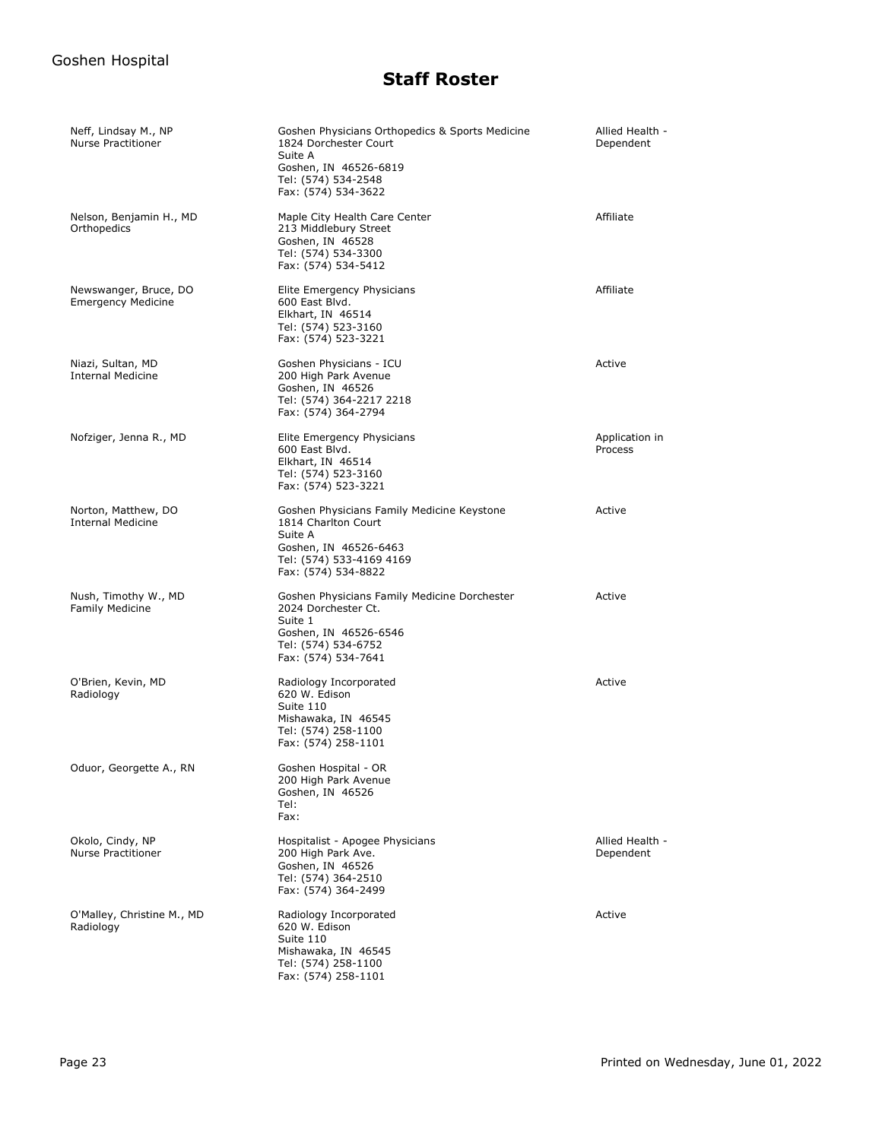| Neff, Lindsay M., NP<br>Nurse Practitioner         | Goshen Physicians Orthopedics & Sports Medicine<br>1824 Dorchester Court<br>Suite A<br>Goshen, IN 46526-6819<br>Tel: (574) 534-2548<br>Fax: (574) 534-3622 | Allied Health -<br>Dependent |
|----------------------------------------------------|------------------------------------------------------------------------------------------------------------------------------------------------------------|------------------------------|
| Nelson, Benjamin H., MD<br>Orthopedics             | Maple City Health Care Center<br>213 Middlebury Street<br>Goshen, IN 46528<br>Tel: (574) 534-3300<br>Fax: (574) 534-5412                                   | Affiliate                    |
| Newswanger, Bruce, DO<br><b>Emergency Medicine</b> | Elite Emergency Physicians<br>600 East Blvd.<br>Elkhart, IN 46514<br>Tel: (574) 523-3160<br>Fax: (574) 523-3221                                            | Affiliate                    |
| Niazi, Sultan, MD<br><b>Internal Medicine</b>      | Goshen Physicians - ICU<br>200 High Park Avenue<br>Goshen, IN 46526<br>Tel: (574) 364-2217 2218<br>Fax: (574) 364-2794                                     | Active                       |
| Nofziger, Jenna R., MD                             | Elite Emergency Physicians<br>600 East Blvd.<br>Elkhart, IN 46514<br>Tel: (574) 523-3160<br>Fax: (574) 523-3221                                            | Application in<br>Process    |
| Norton, Matthew, DO<br><b>Internal Medicine</b>    | Goshen Physicians Family Medicine Keystone<br>1814 Charlton Court<br>Suite A<br>Goshen, IN 46526-6463<br>Tel: (574) 533-4169 4169<br>Fax: (574) 534-8822   | Active                       |
| Nush, Timothy W., MD<br><b>Family Medicine</b>     | Goshen Physicians Family Medicine Dorchester<br>2024 Dorchester Ct.<br>Suite 1<br>Goshen, IN 46526-6546<br>Tel: (574) 534-6752<br>Fax: (574) 534-7641      | Active                       |
| O'Brien, Kevin, MD<br>Radiology                    | Radiology Incorporated<br>620 W. Edison<br>Suite 110<br>Mishawaka, IN 46545<br>Tel: (574) 258-1100<br>Fax: (574) 258-1101                                  | Active                       |
| Oduor, Georgette A., RN                            | Goshen Hospital - OR<br>200 High Park Avenue<br>Goshen, IN 46526<br>Tel:<br>Fax:                                                                           |                              |
| Okolo, Cindy, NP<br><b>Nurse Practitioner</b>      | Hospitalist - Apogee Physicians<br>200 High Park Ave.<br>Goshen, IN 46526<br>Tel: (574) 364-2510<br>Fax: (574) 364-2499                                    | Allied Health -<br>Dependent |
| O'Malley, Christine M., MD<br>Radiology            | Radiology Incorporated<br>620 W. Edison<br>Suite 110<br>Mishawaka, IN 46545<br>Tel: (574) 258-1100<br>Fax: (574) 258-1101                                  | Active                       |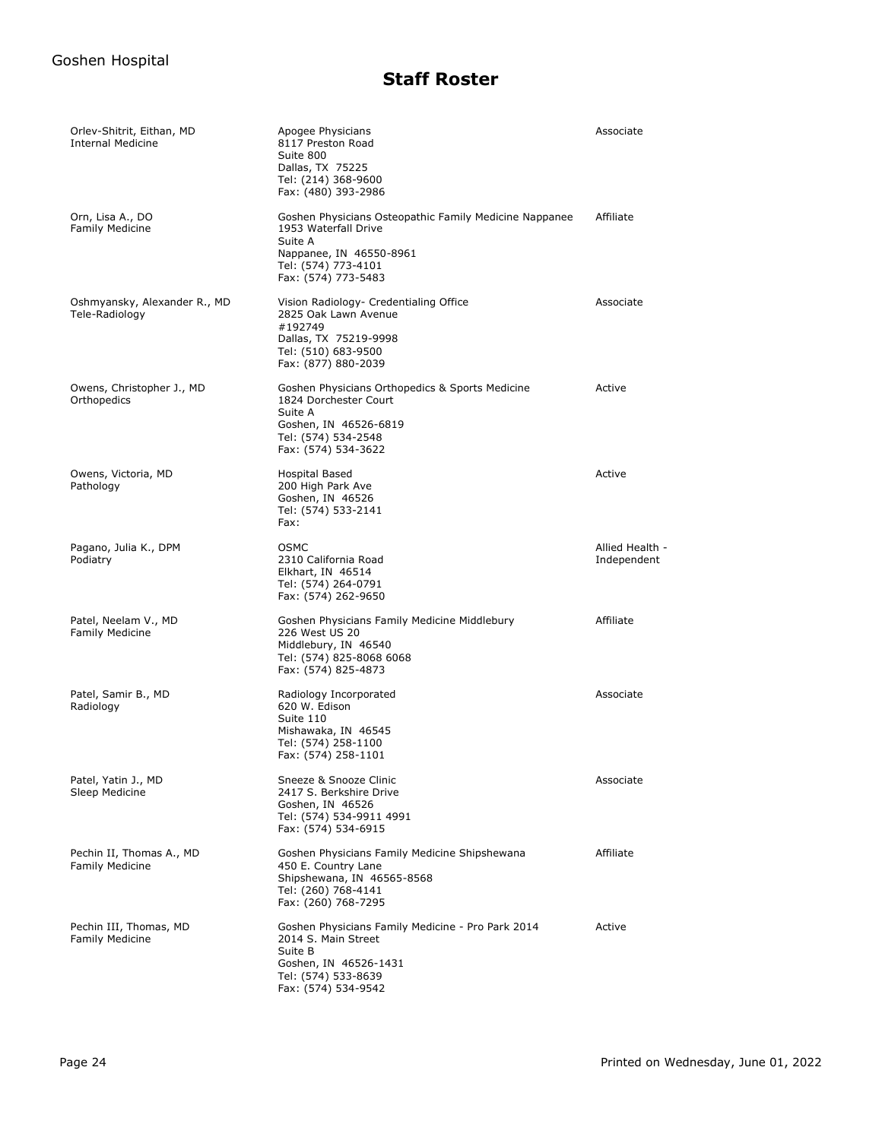| Orlev-Shitrit, Eithan, MD<br><b>Internal Medicine</b> | Apogee Physicians<br>8117 Preston Road<br>Suite 800<br>Dallas, TX 75225<br>Tel: (214) 368-9600<br>Fax: (480) 393-2986                                              | Associate                      |
|-------------------------------------------------------|--------------------------------------------------------------------------------------------------------------------------------------------------------------------|--------------------------------|
| Orn, Lisa A., DO<br><b>Family Medicine</b>            | Goshen Physicians Osteopathic Family Medicine Nappanee<br>1953 Waterfall Drive<br>Suite A<br>Nappanee, IN 46550-8961<br>Tel: (574) 773-4101<br>Fax: (574) 773-5483 | Affiliate                      |
| Oshmyansky, Alexander R., MD<br>Tele-Radiology        | Vision Radiology- Credentialing Office<br>2825 Oak Lawn Avenue<br>#192749<br>Dallas, TX 75219-9998<br>Tel: (510) 683-9500<br>Fax: (877) 880-2039                   | Associate                      |
| Owens, Christopher J., MD<br>Orthopedics              | Goshen Physicians Orthopedics & Sports Medicine<br>1824 Dorchester Court<br>Suite A<br>Goshen, IN 46526-6819<br>Tel: (574) 534-2548<br>Fax: (574) 534-3622         | Active                         |
| Owens, Victoria, MD<br>Pathology                      | <b>Hospital Based</b><br>200 High Park Ave<br>Goshen, IN 46526<br>Tel: (574) 533-2141<br>Fax:                                                                      | Active                         |
| Pagano, Julia K., DPM<br>Podiatry                     | <b>OSMC</b><br>2310 California Road<br>Elkhart, IN 46514<br>Tel: (574) 264-0791<br>Fax: (574) 262-9650                                                             | Allied Health -<br>Independent |
| Patel, Neelam V., MD<br><b>Family Medicine</b>        | Goshen Physicians Family Medicine Middlebury<br>226 West US 20<br>Middlebury, IN 46540<br>Tel: (574) 825-8068 6068<br>Fax: (574) 825-4873                          | Affiliate                      |
| Patel, Samir B., MD<br>Radiology                      | Radiology Incorporated<br>620 W. Edison<br>Suite 110<br>Mishawaka, IN 46545<br>Tel: (574) 258-1100<br>Fax: (574) 258-1101                                          | Associate                      |
| Patel, Yatin J., MD<br>Sleep Medicine                 | Sneeze & Snooze Clinic<br>2417 S. Berkshire Drive<br>Goshen, IN 46526<br>Tel: (574) 534-9911 4991<br>Fax: (574) 534-6915                                           | Associate                      |
| Pechin II, Thomas A., MD<br><b>Family Medicine</b>    | Goshen Physicians Family Medicine Shipshewana<br>450 E. Country Lane<br>Shipshewana, IN 46565-8568<br>Tel: (260) 768-4141<br>Fax: (260) 768-7295                   | Affiliate                      |
| Pechin III, Thomas, MD<br><b>Family Medicine</b>      | Goshen Physicians Family Medicine - Pro Park 2014<br>2014 S. Main Street<br>Suite B<br>Goshen, IN 46526-1431<br>Tel: (574) 533-8639<br>Fax: (574) 534-9542         | Active                         |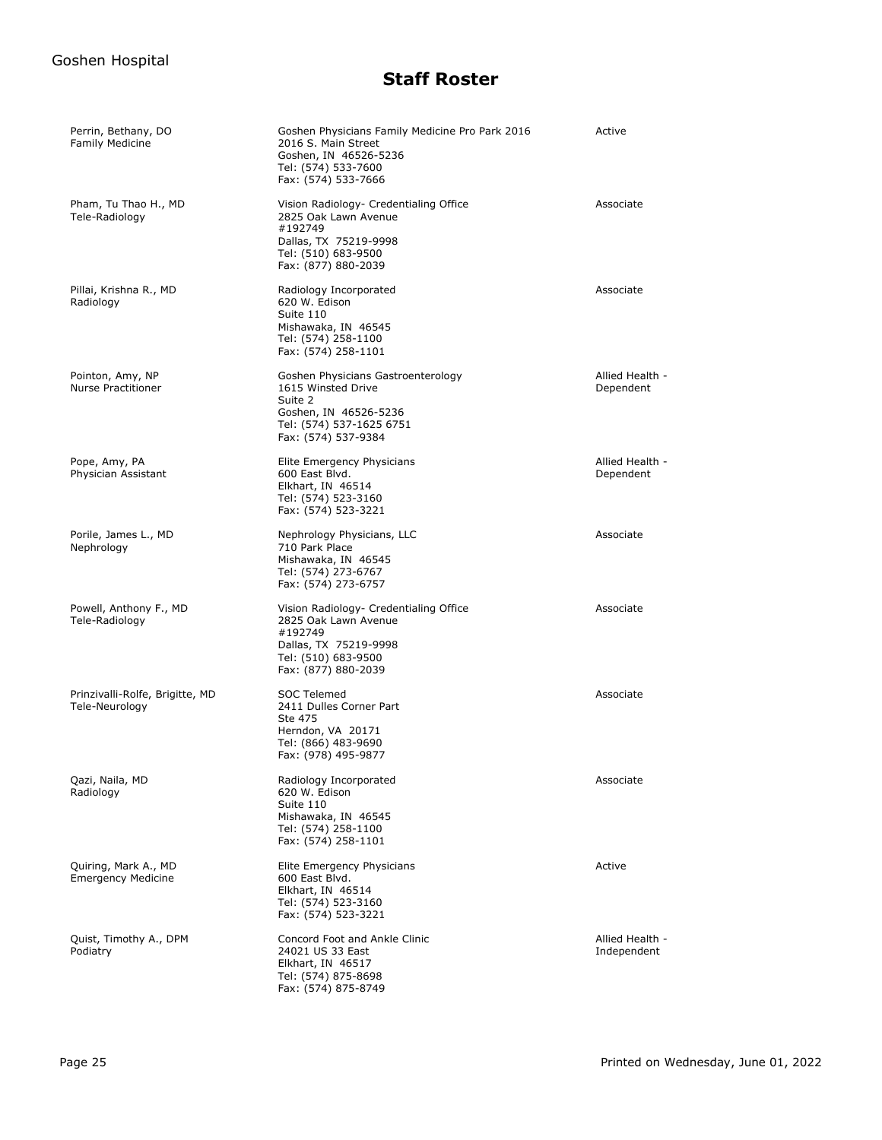| Perrin, Bethany, DO<br><b>Family Medicine</b>     | Goshen Physicians Family Medicine Pro Park 2016<br>2016 S. Main Street<br>Goshen, IN 46526-5236<br>Tel: (574) 533-7600<br>Fax: (574) 533-7666    | Active                         |
|---------------------------------------------------|--------------------------------------------------------------------------------------------------------------------------------------------------|--------------------------------|
| Pham, Tu Thao H., MD<br>Tele-Radiology            | Vision Radiology- Credentialing Office<br>2825 Oak Lawn Avenue<br>#192749<br>Dallas, TX 75219-9998<br>Tel: (510) 683-9500<br>Fax: (877) 880-2039 | Associate                      |
| Pillai, Krishna R., MD<br>Radiology               | Radiology Incorporated<br>620 W. Edison<br>Suite 110<br>Mishawaka, IN 46545<br>Tel: (574) 258-1100<br>Fax: (574) 258-1101                        | Associate                      |
| Pointon, Amy, NP<br>Nurse Practitioner            | Goshen Physicians Gastroenterology<br>1615 Winsted Drive<br>Suite 2<br>Goshen, IN 46526-5236<br>Tel: (574) 537-1625 6751<br>Fax: (574) 537-9384  | Allied Health -<br>Dependent   |
| Pope, Amy, PA<br>Physician Assistant              | Elite Emergency Physicians<br>600 East Blvd.<br>Elkhart, IN 46514<br>Tel: (574) 523-3160<br>Fax: (574) 523-3221                                  | Allied Health -<br>Dependent   |
| Porile, James L., MD<br>Nephrology                | Nephrology Physicians, LLC<br>710 Park Place<br>Mishawaka, IN 46545<br>Tel: (574) 273-6767<br>Fax: (574) 273-6757                                | Associate                      |
| Powell, Anthony F., MD<br>Tele-Radiology          | Vision Radiology- Credentialing Office<br>2825 Oak Lawn Avenue<br>#192749<br>Dallas, TX 75219-9998<br>Tel: (510) 683-9500<br>Fax: (877) 880-2039 | Associate                      |
| Prinzivalli-Rolfe, Brigitte, MD<br>Tele-Neurology | <b>SOC Telemed</b><br>2411 Dulles Corner Part<br>Ste 475<br>Herndon, VA 20171<br>Tel: (866) 483-9690<br>Fax: (978) 495-9877                      | Associate                      |
| Qazi, Naila, MD<br>Radiology                      | Radiology Incorporated<br>620 W. Edison<br>Suite 110<br>Mishawaka, IN 46545<br>Tel: (574) 258-1100<br>Fax: (574) 258-1101                        | Associate                      |
| Quiring, Mark A., MD<br><b>Emergency Medicine</b> | Elite Emergency Physicians<br>600 East Blvd.<br>Elkhart, IN 46514<br>Tel: (574) 523-3160<br>Fax: (574) 523-3221                                  | Active                         |
| Quist, Timothy A., DPM<br>Podiatry                | Concord Foot and Ankle Clinic<br>24021 US 33 East<br>Elkhart, IN 46517<br>Tel: (574) 875-8698<br>Fax: (574) 875-8749                             | Allied Health -<br>Independent |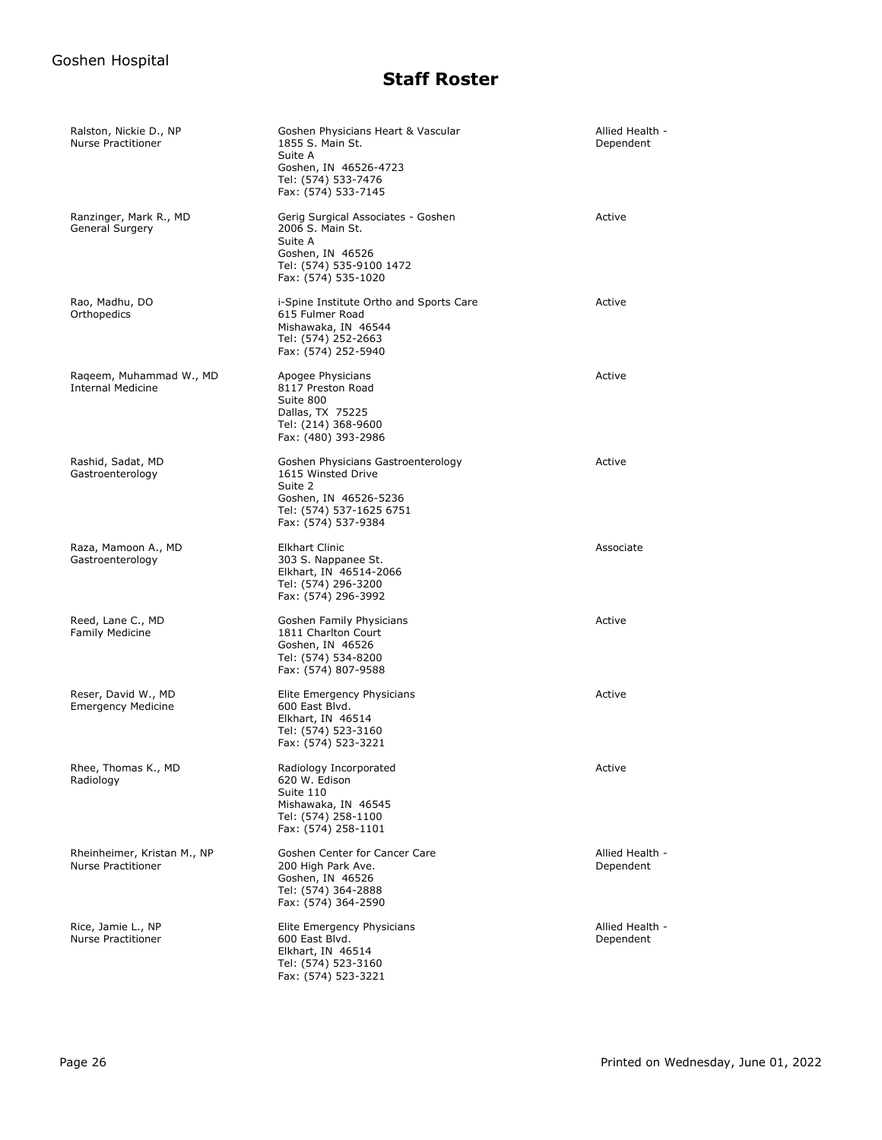| Ralston, Nickie D., NP<br><b>Nurse Practitioner</b>      | Goshen Physicians Heart & Vascular<br>1855 S. Main St.<br>Suite A<br>Goshen, IN 46526-4723<br>Tel: (574) 533-7476<br>Fax: (574) 533-7145        | Allied Health -<br>Dependent |
|----------------------------------------------------------|-------------------------------------------------------------------------------------------------------------------------------------------------|------------------------------|
| Ranzinger, Mark R., MD<br>General Surgery                | Gerig Surgical Associates - Goshen<br>2006 S. Main St.<br>Suite A<br>Goshen, IN 46526<br>Tel: (574) 535-9100 1472<br>Fax: (574) 535-1020        | Active                       |
| Rao, Madhu, DO<br>Orthopedics                            | i-Spine Institute Ortho and Sports Care<br>615 Fulmer Road<br>Mishawaka, IN 46544<br>Tel: (574) 252-2663<br>Fax: (574) 252-5940                 | Active                       |
| Raqeem, Muhammad W., MD<br><b>Internal Medicine</b>      | Apogee Physicians<br>8117 Preston Road<br>Suite 800<br>Dallas, TX 75225<br>Tel: (214) 368-9600<br>Fax: (480) 393-2986                           | Active                       |
| Rashid, Sadat, MD<br>Gastroenterology                    | Goshen Physicians Gastroenterology<br>1615 Winsted Drive<br>Suite 2<br>Goshen, IN 46526-5236<br>Tel: (574) 537-1625 6751<br>Fax: (574) 537-9384 | Active                       |
| Raza, Mamoon A., MD<br>Gastroenterology                  | <b>Elkhart Clinic</b><br>303 S. Nappanee St.<br>Elkhart, IN 46514-2066<br>Tel: (574) 296-3200<br>Fax: (574) 296-3992                            | Associate                    |
| Reed, Lane C., MD<br><b>Family Medicine</b>              | Goshen Family Physicians<br>1811 Charlton Court<br>Goshen, IN 46526<br>Tel: (574) 534-8200<br>Fax: (574) 807-9588                               | Active                       |
| Reser, David W., MD<br><b>Emergency Medicine</b>         | Elite Emergency Physicians<br>600 East Blvd.<br>Elkhart, IN 46514<br>Tel: (574) 523-3160<br>Fax: (574) 523-3221                                 | Active                       |
| Rhee, Thomas K., MD<br>Radiology                         | Radiology Incorporated<br>620 W. Edison<br>Suite 110<br>Mishawaka, IN 46545<br>Tel: (574) 258-1100<br>Fax: (574) 258-1101                       | Active                       |
| Rheinheimer, Kristan M., NP<br><b>Nurse Practitioner</b> | Goshen Center for Cancer Care<br>200 High Park Ave.<br>Goshen, IN 46526<br>Tel: (574) 364-2888<br>Fax: (574) 364-2590                           | Allied Health -<br>Dependent |
| Rice, Jamie L., NP<br><b>Nurse Practitioner</b>          | Elite Emergency Physicians<br>600 East Blvd.<br>Elkhart, IN 46514<br>Tel: (574) 523-3160<br>Fax: (574) 523-3221                                 | Allied Health -<br>Dependent |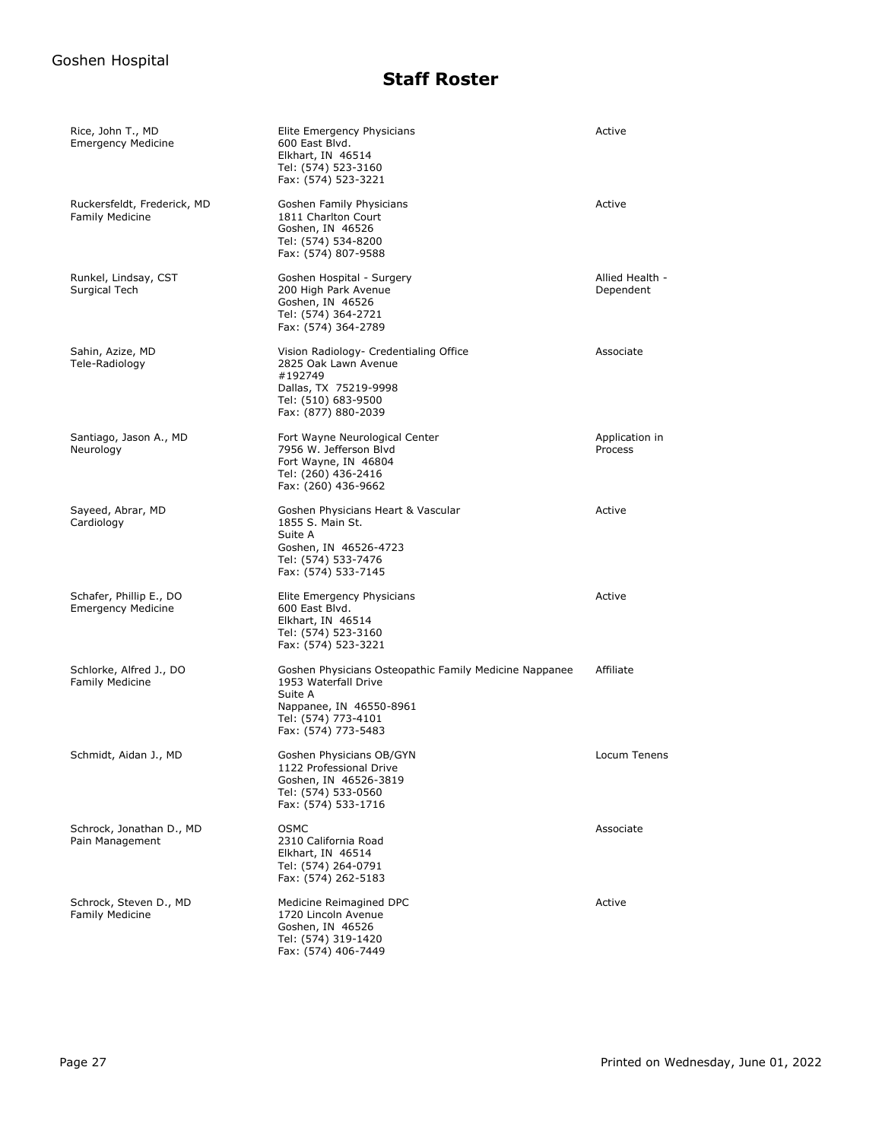| Rice, John T., MD<br><b>Emergency Medicine</b>        | Elite Emergency Physicians<br>600 East Blvd.<br>Elkhart, IN 46514<br>Tel: (574) 523-3160<br>Fax: (574) 523-3221                                                    | Active                       |
|-------------------------------------------------------|--------------------------------------------------------------------------------------------------------------------------------------------------------------------|------------------------------|
| Ruckersfeldt, Frederick, MD<br><b>Family Medicine</b> | Goshen Family Physicians<br>1811 Charlton Court<br>Goshen, IN 46526<br>Tel: (574) 534-8200<br>Fax: (574) 807-9588                                                  | Active                       |
| Runkel, Lindsay, CST<br>Surgical Tech                 | Goshen Hospital - Surgery<br>200 High Park Avenue<br>Goshen, IN 46526<br>Tel: (574) 364-2721<br>Fax: (574) 364-2789                                                | Allied Health -<br>Dependent |
| Sahin, Azize, MD<br>Tele-Radiology                    | Vision Radiology- Credentialing Office<br>2825 Oak Lawn Avenue<br>#192749<br>Dallas, TX 75219-9998<br>Tel: (510) 683-9500<br>Fax: (877) 880-2039                   | Associate                    |
| Santiago, Jason A., MD<br>Neurology                   | Fort Wayne Neurological Center<br>7956 W. Jefferson Blyd<br>Fort Wayne, IN 46804<br>Tel: (260) 436-2416<br>Fax: (260) 436-9662                                     | Application in<br>Process    |
| Sayeed, Abrar, MD<br>Cardiology                       | Goshen Physicians Heart & Vascular<br>1855 S. Main St.<br>Suite A<br>Goshen, IN 46526-4723<br>Tel: (574) 533-7476<br>Fax: (574) 533-7145                           | Active                       |
| Schafer, Phillip E., DO<br><b>Emergency Medicine</b>  | Elite Emergency Physicians<br>600 East Blvd.<br>Elkhart, IN 46514<br>Tel: (574) 523-3160<br>Fax: (574) 523-3221                                                    | Active                       |
| Schlorke, Alfred J., DO<br><b>Family Medicine</b>     | Goshen Physicians Osteopathic Family Medicine Nappanee<br>1953 Waterfall Drive<br>Suite A<br>Nappanee, IN 46550-8961<br>Tel: (574) 773-4101<br>Fax: (574) 773-5483 | Affiliate                    |
| Schmidt, Aidan J., MD                                 | Goshen Physicians OB/GYN<br>1122 Professional Drive<br>Goshen, IN 46526-3819<br>Tel: (574) 533-0560<br>Fax: (574) 533-1716                                         | Locum Tenens                 |
| Schrock, Jonathan D., MD<br>Pain Management           | <b>OSMC</b><br>2310 California Road<br>Elkhart, IN 46514<br>Tel: (574) 264-0791<br>Fax: (574) 262-5183                                                             | Associate                    |
| Schrock, Steven D., MD<br><b>Family Medicine</b>      | Medicine Reimagined DPC<br>1720 Lincoln Avenue<br>Goshen, IN 46526<br>Tel: (574) 319-1420<br>Fax: (574) 406-7449                                                   | Active                       |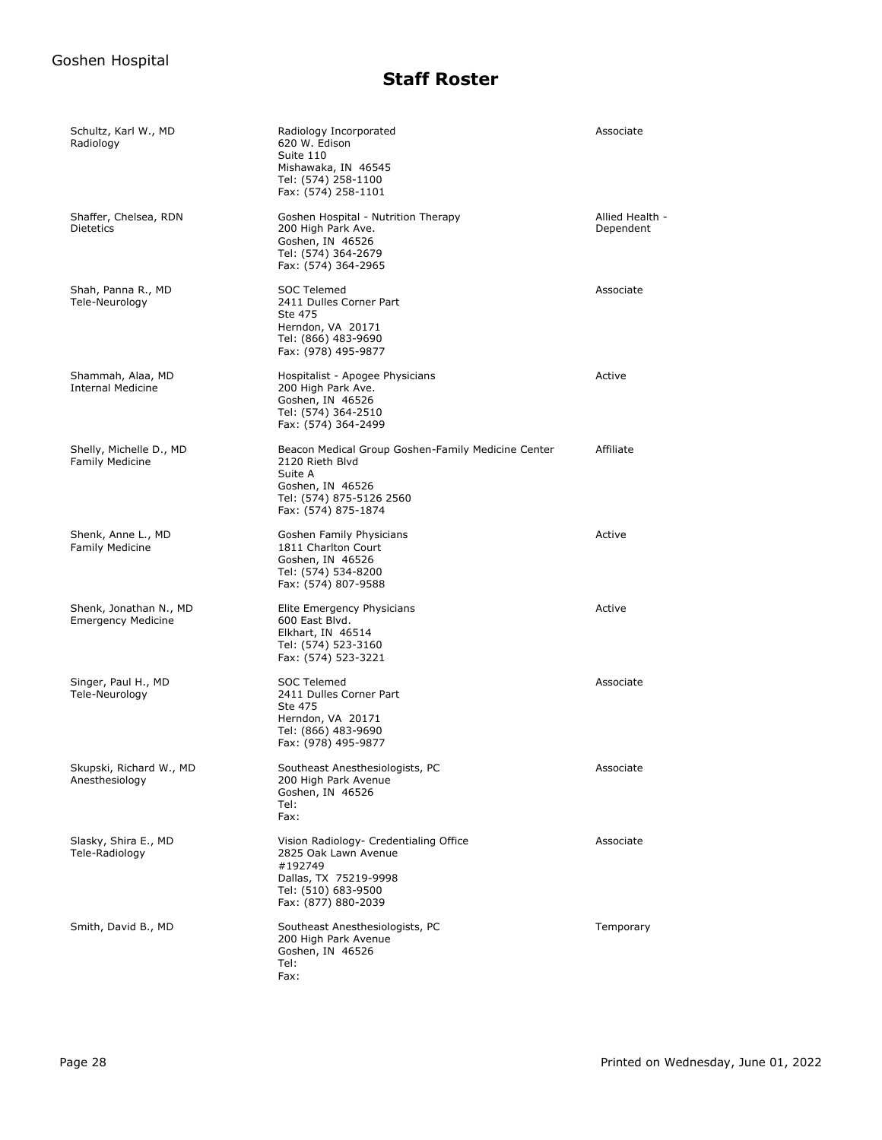| Schultz, Karl W., MD<br>Radiology                   | Radiology Incorporated<br>620 W. Edison<br>Suite 110<br>Mishawaka, IN 46545<br>Tel: (574) 258-1100<br>Fax: (574) 258-1101                               | Associate                    |
|-----------------------------------------------------|---------------------------------------------------------------------------------------------------------------------------------------------------------|------------------------------|
| Shaffer, Chelsea, RDN<br><b>Dietetics</b>           | Goshen Hospital - Nutrition Therapy<br>200 High Park Ave.<br>Goshen, IN 46526<br>Tel: (574) 364-2679<br>Fax: (574) 364-2965                             | Allied Health -<br>Dependent |
| Shah, Panna R., MD<br>Tele-Neurology                | <b>SOC Telemed</b><br>2411 Dulles Corner Part<br>Ste 475<br>Herndon, VA 20171<br>Tel: (866) 483-9690<br>Fax: (978) 495-9877                             | Associate                    |
| Shammah, Alaa, MD<br><b>Internal Medicine</b>       | Hospitalist - Apogee Physicians<br>200 High Park Ave.<br>Goshen, IN 46526<br>Tel: (574) 364-2510<br>Fax: (574) 364-2499                                 | Active                       |
| Shelly, Michelle D., MD<br><b>Family Medicine</b>   | Beacon Medical Group Goshen-Family Medicine Center<br>2120 Rieth Blvd<br>Suite A<br>Goshen, IN 46526<br>Tel: (574) 875-5126 2560<br>Fax: (574) 875-1874 | Affiliate                    |
| Shenk, Anne L., MD<br><b>Family Medicine</b>        | Goshen Family Physicians<br>1811 Charlton Court<br>Goshen, IN 46526<br>Tel: (574) 534-8200<br>Fax: (574) 807-9588                                       | Active                       |
| Shenk, Jonathan N., MD<br><b>Emergency Medicine</b> | Elite Emergency Physicians<br>600 East Blvd.<br>Elkhart, IN 46514<br>Tel: (574) 523-3160<br>Fax: (574) 523-3221                                         | Active                       |
| Singer, Paul H., MD<br>Tele-Neurology               | <b>SOC Telemed</b><br>2411 Dulles Corner Part<br>Ste 475<br>Herndon, VA 20171<br>Tel: (866) 483-9690<br>Fax: (978) 495-9877                             | Associate                    |
| Skupski, Richard W., MD<br>Anesthesiology           | Southeast Anesthesiologists, PC<br>200 High Park Avenue<br>Goshen, IN 46526<br>Tel:<br>Fax:                                                             | Associate                    |
| Slasky, Shira E., MD<br>Tele-Radiology              | Vision Radiology- Credentialing Office<br>2825 Oak Lawn Avenue<br>#192749<br>Dallas, TX 75219-9998<br>Tel: (510) 683-9500<br>Fax: (877) 880-2039        | Associate                    |
| Smith, David B., MD                                 | Southeast Anesthesiologists, PC<br>200 High Park Avenue<br>Goshen, IN 46526<br>Tel:<br>Fax:                                                             | Temporary                    |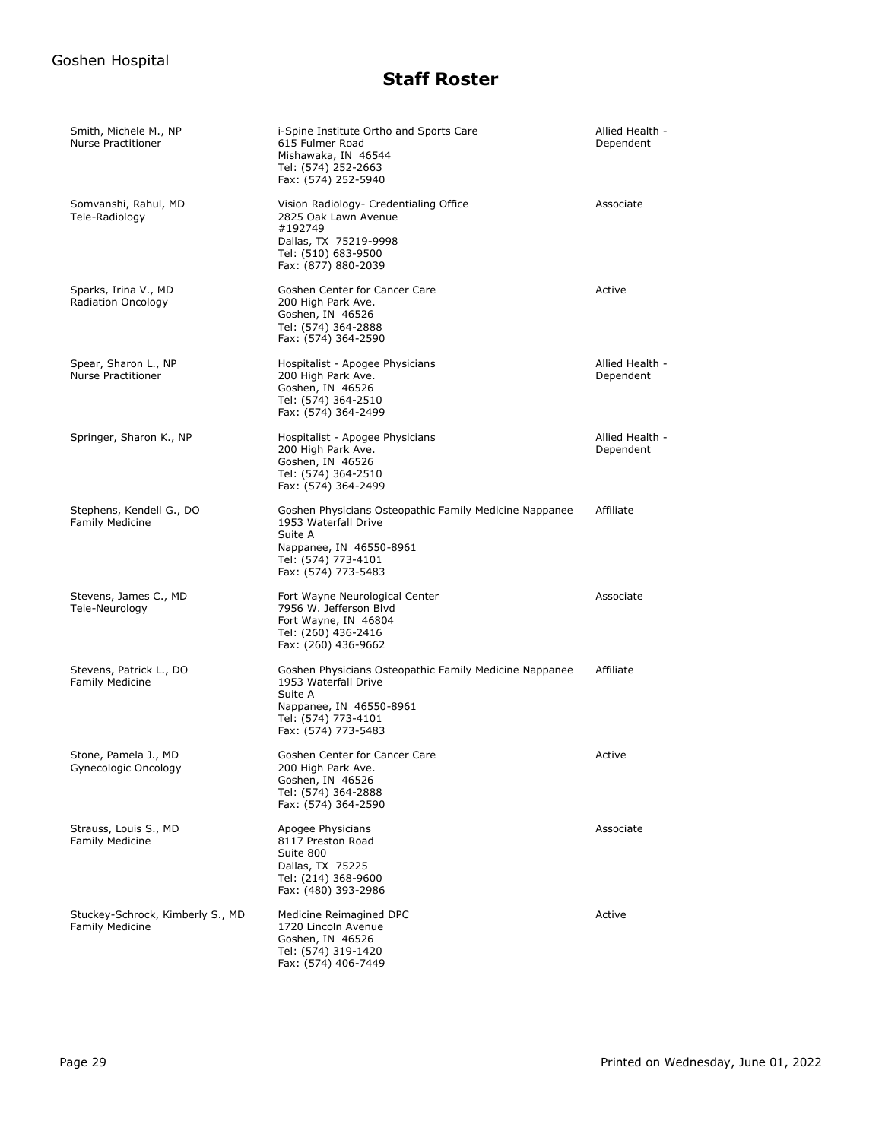| Smith, Michele M., NP<br><b>Nurse Practitioner</b>         | i-Spine Institute Ortho and Sports Care<br>615 Fulmer Road<br>Mishawaka, IN 46544<br>Tel: (574) 252-2663<br>Fax: (574) 252-5940                                    | Allied Health -<br>Dependent |
|------------------------------------------------------------|--------------------------------------------------------------------------------------------------------------------------------------------------------------------|------------------------------|
| Somvanshi, Rahul, MD<br>Tele-Radiology                     | Vision Radiology- Credentialing Office<br>2825 Oak Lawn Avenue<br>#192749<br>Dallas, TX 75219-9998<br>Tel: (510) 683-9500<br>Fax: (877) 880-2039                   | Associate                    |
| Sparks, Irina V., MD<br>Radiation Oncology                 | Goshen Center for Cancer Care<br>200 High Park Ave.<br>Goshen, IN 46526<br>Tel: (574) 364-2888<br>Fax: (574) 364-2590                                              | Active                       |
| Spear, Sharon L., NP<br><b>Nurse Practitioner</b>          | Hospitalist - Apogee Physicians<br>200 High Park Ave.<br>Goshen, IN 46526<br>Tel: (574) 364-2510<br>Fax: (574) 364-2499                                            | Allied Health -<br>Dependent |
| Springer, Sharon K., NP                                    | Hospitalist - Apogee Physicians<br>200 High Park Ave.<br>Goshen, IN 46526<br>Tel: (574) 364-2510<br>Fax: (574) 364-2499                                            | Allied Health -<br>Dependent |
| Stephens, Kendell G., DO<br><b>Family Medicine</b>         | Goshen Physicians Osteopathic Family Medicine Nappanee<br>1953 Waterfall Drive<br>Suite A<br>Nappanee, IN 46550-8961<br>Tel: (574) 773-4101<br>Fax: (574) 773-5483 | Affiliate                    |
| Stevens, James C., MD<br>Tele-Neurology                    | Fort Wayne Neurological Center<br>7956 W. Jefferson Blvd<br>Fort Wayne, IN 46804<br>Tel: (260) 436-2416<br>Fax: (260) 436-9662                                     | Associate                    |
| Stevens, Patrick L., DO<br>Family Medicine                 | Goshen Physicians Osteopathic Family Medicine Nappanee<br>1953 Waterfall Drive<br>Suite A<br>Nappanee, IN 46550-8961<br>Tel: (574) 773-4101<br>Fax: (574) 773-5483 | Affiliate                    |
| Stone, Pamela J., MD<br>Gynecologic Oncology               | Goshen Center for Cancer Care<br>200 High Park Ave.<br>Goshen, IN 46526<br>Tel: (574) 364-2888<br>Fax: (574) 364-2590                                              | Active                       |
| Strauss, Louis S., MD<br><b>Family Medicine</b>            | Apogee Physicians<br>8117 Preston Road<br>Suite 800<br>Dallas, TX 75225<br>Tel: (214) 368-9600<br>Fax: (480) 393-2986                                              | Associate                    |
| Stuckey-Schrock, Kimberly S., MD<br><b>Family Medicine</b> | Medicine Reimagined DPC<br>1720 Lincoln Avenue<br>Goshen, IN 46526<br>Tel: (574) 319-1420<br>Fax: (574) 406-7449                                                   | Active                       |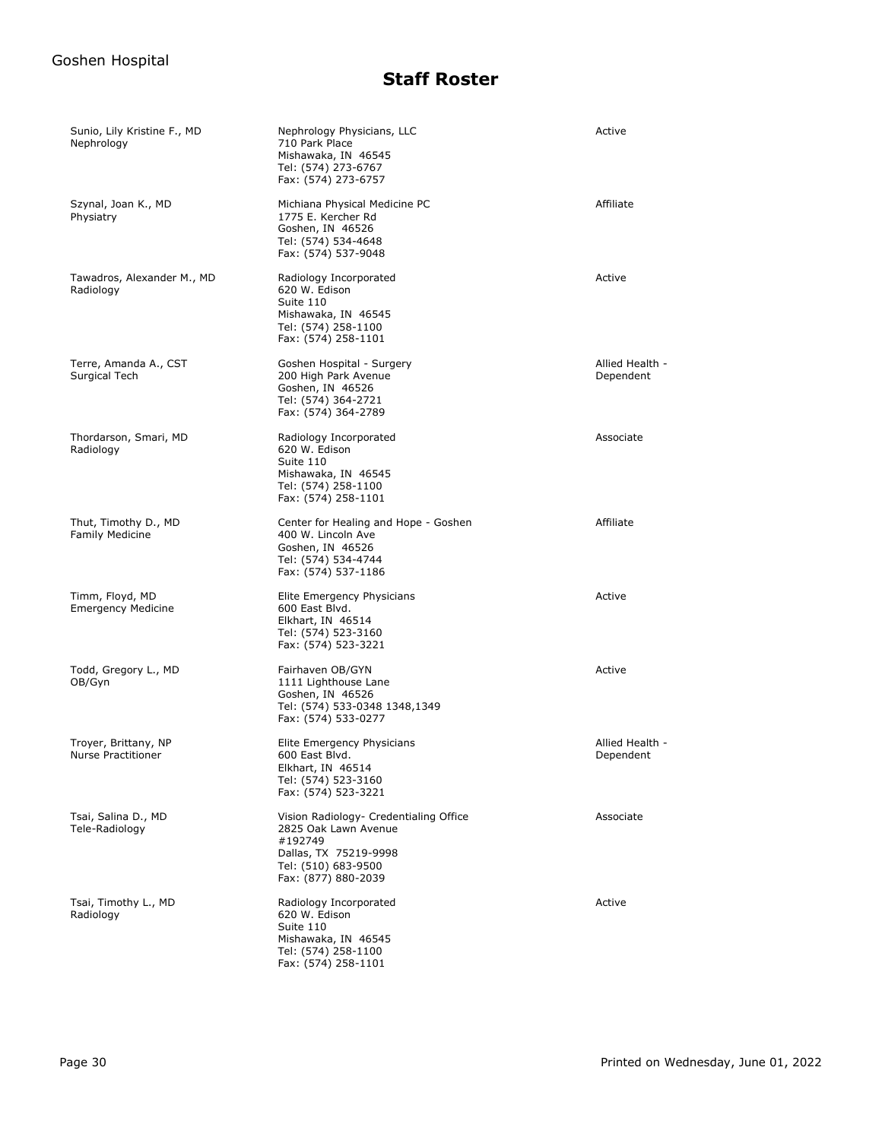| Sunio, Lily Kristine F., MD<br>Nephrology      | Nephrology Physicians, LLC<br>710 Park Place<br>Mishawaka, IN 46545<br>Tel: (574) 273-6767<br>Fax: (574) 273-6757                                | Active                       |
|------------------------------------------------|--------------------------------------------------------------------------------------------------------------------------------------------------|------------------------------|
| Szynal, Joan K., MD<br>Physiatry               | Michiana Physical Medicine PC<br>1775 E. Kercher Rd<br>Goshen, IN 46526<br>Tel: (574) 534-4648<br>Fax: (574) 537-9048                            | Affiliate                    |
| Tawadros, Alexander M., MD<br>Radiology        | Radiology Incorporated<br>620 W. Edison<br>Suite 110<br>Mishawaka, IN 46545<br>Tel: (574) 258-1100<br>Fax: (574) 258-1101                        | Active                       |
| Terre, Amanda A., CST<br>Surgical Tech         | Goshen Hospital - Surgery<br>200 High Park Avenue<br>Goshen, IN 46526<br>Tel: (574) 364-2721<br>Fax: (574) 364-2789                              | Allied Health -<br>Dependent |
| Thordarson, Smari, MD<br>Radiology             | Radiology Incorporated<br>620 W. Edison<br>Suite 110<br>Mishawaka, IN 46545<br>Tel: (574) 258-1100<br>Fax: (574) 258-1101                        | Associate                    |
| Thut, Timothy D., MD<br><b>Family Medicine</b> | Center for Healing and Hope - Goshen<br>400 W. Lincoln Ave<br>Goshen, IN 46526<br>Tel: (574) 534-4744<br>Fax: (574) 537-1186                     | Affiliate                    |
| Timm, Floyd, MD<br><b>Emergency Medicine</b>   | Elite Emergency Physicians<br>600 East Blvd.<br>Elkhart, IN 46514<br>Tel: (574) 523-3160<br>Fax: (574) 523-3221                                  | Active                       |
| Todd, Gregory L., MD<br>OB/Gyn                 | Fairhaven OB/GYN<br>1111 Lighthouse Lane<br>Goshen, IN 46526<br>Tel: (574) 533-0348 1348,1349<br>Fax: (574) 533-0277                             | Active                       |
| Troyer, Brittany, NP<br>Nurse Practitioner     | Elite Emergency Physicians<br>600 East Blvd.<br>Elkhart, IN 46514<br>Tel: (574) 523-3160<br>Fax: (574) 523-3221                                  | Allied Health -<br>Dependent |
| Tsai, Salina D., MD<br>Tele-Radiology          | Vision Radiology- Credentialing Office<br>2825 Oak Lawn Avenue<br>#192749<br>Dallas, TX 75219-9998<br>Tel: (510) 683-9500<br>Fax: (877) 880-2039 | Associate                    |
| Tsai, Timothy L., MD<br>Radiology              | Radiology Incorporated<br>620 W. Edison<br>Suite 110<br>Mishawaka, IN 46545<br>Tel: (574) 258-1100<br>Fax: (574) 258-1101                        | Active                       |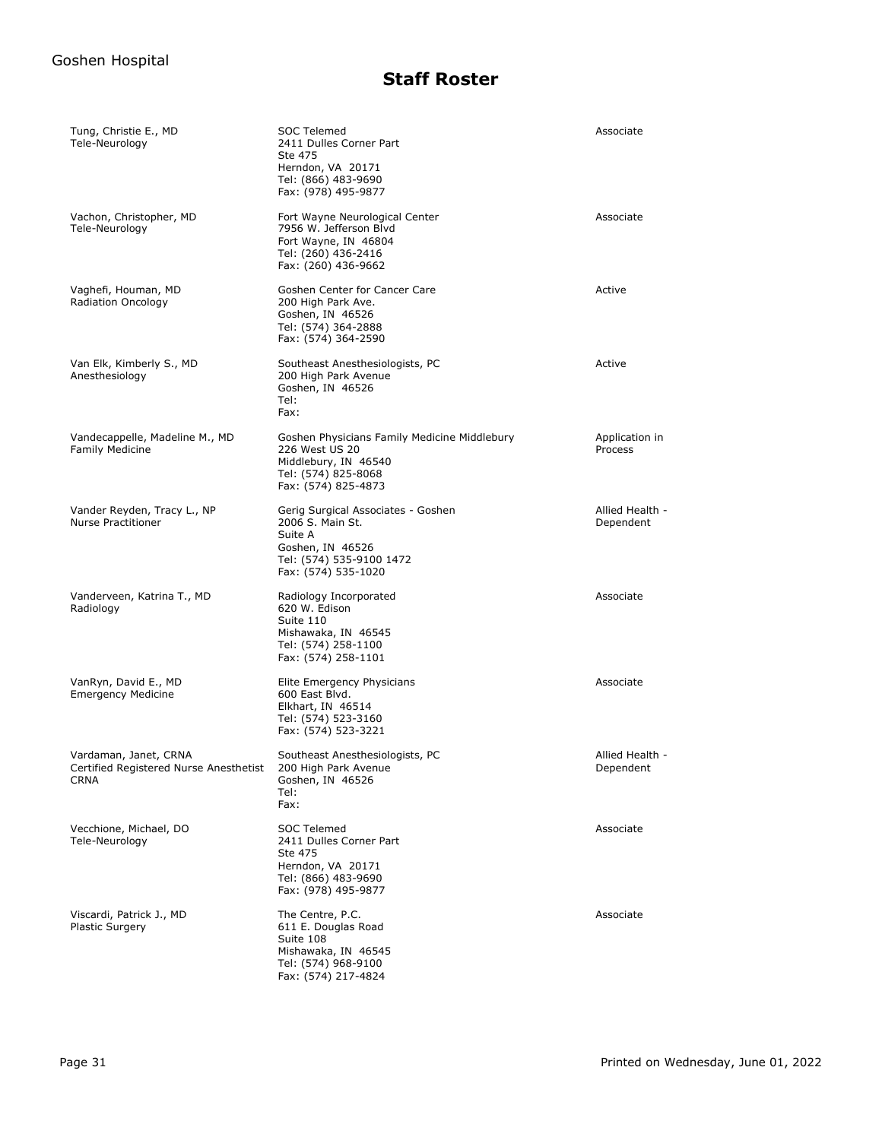| Tung, Christie E., MD<br>Tele-Neurology                                        | <b>SOC Telemed</b><br>2411 Dulles Corner Part<br>Ste 475<br>Herndon, VA 20171<br>Tel: (866) 483-9690<br>Fax: (978) 495-9877              | Associate                    |
|--------------------------------------------------------------------------------|------------------------------------------------------------------------------------------------------------------------------------------|------------------------------|
| Vachon, Christopher, MD<br>Tele-Neurology                                      | Fort Wayne Neurological Center<br>7956 W. Jefferson Blvd<br>Fort Wayne, IN 46804<br>Tel: (260) 436-2416<br>Fax: (260) 436-9662           | Associate                    |
| Vaghefi, Houman, MD<br>Radiation Oncology                                      | Goshen Center for Cancer Care<br>200 High Park Ave.<br>Goshen, IN 46526<br>Tel: (574) 364-2888<br>Fax: (574) 364-2590                    | Active                       |
| Van Elk, Kimberly S., MD<br>Anesthesiology                                     | Southeast Anesthesiologists, PC<br>200 High Park Avenue<br>Goshen, IN 46526<br>Tel:<br>Fax:                                              | Active                       |
| Vandecappelle, Madeline M., MD<br><b>Family Medicine</b>                       | Goshen Physicians Family Medicine Middlebury<br>226 West US 20<br>Middlebury, IN 46540<br>Tel: (574) 825-8068<br>Fax: (574) 825-4873     | Application in<br>Process    |
| Vander Reyden, Tracy L., NP<br><b>Nurse Practitioner</b>                       | Gerig Surgical Associates - Goshen<br>2006 S. Main St.<br>Suite A<br>Goshen, IN 46526<br>Tel: (574) 535-9100 1472<br>Fax: (574) 535-1020 | Allied Health -<br>Dependent |
| Vanderveen, Katrina T., MD<br>Radiology                                        | Radiology Incorporated<br>620 W. Edison<br>Suite 110<br>Mishawaka, IN 46545<br>Tel: (574) 258-1100<br>Fax: (574) 258-1101                | Associate                    |
| VanRyn, David E., MD<br><b>Emergency Medicine</b>                              | Elite Emergency Physicians<br>600 East Blvd.<br>Elkhart, IN 46514<br>Tel: (574) 523-3160<br>Fax: (574) 523-3221                          | Associate                    |
| Vardaman, Janet, CRNA<br>Certified Registered Nurse Anesthetist<br><b>CRNA</b> | Southeast Anesthesiologists, PC<br>200 High Park Avenue<br>Goshen, IN 46526<br>Tel:<br>Fax:                                              | Allied Health -<br>Dependent |
| Vecchione, Michael, DO<br>Tele-Neurology                                       | <b>SOC Telemed</b><br>2411 Dulles Corner Part<br>Ste 475<br>Herndon, VA 20171<br>Tel: (866) 483-9690<br>Fax: (978) 495-9877              | Associate                    |
| Viscardi, Patrick J., MD<br><b>Plastic Surgery</b>                             | The Centre, P.C.<br>611 E. Douglas Road<br>Suite 108<br>Mishawaka, IN 46545<br>Tel: (574) 968-9100<br>Fax: (574) 217-4824                | Associate                    |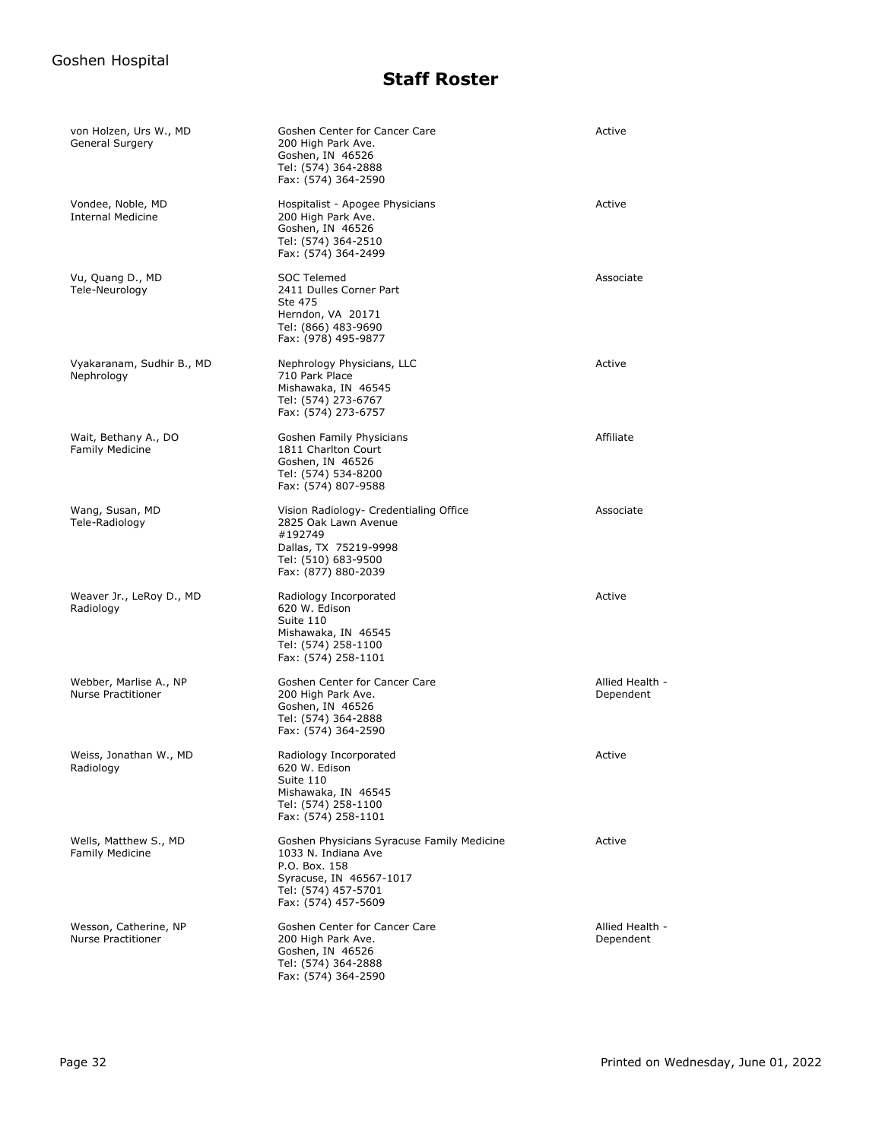| von Holzen, Urs W., MD<br>General Surgery           | Goshen Center for Cancer Care<br>200 High Park Ave.<br>Goshen, IN 46526<br>Tel: (574) 364-2888<br>Fax: (574) 364-2590                                       | Active                       |
|-----------------------------------------------------|-------------------------------------------------------------------------------------------------------------------------------------------------------------|------------------------------|
| Vondee, Noble, MD<br><b>Internal Medicine</b>       | Hospitalist - Apogee Physicians<br>200 High Park Ave.<br>Goshen, IN 46526<br>Tel: (574) 364-2510<br>Fax: (574) 364-2499                                     | Active                       |
| Vu, Quang D., MD<br>Tele-Neurology                  | SOC Telemed<br>2411 Dulles Corner Part<br>Ste 475<br>Herndon, VA 20171<br>Tel: (866) 483-9690<br>Fax: (978) 495-9877                                        | Associate                    |
| Vyakaranam, Sudhir B., MD<br>Nephrology             | Nephrology Physicians, LLC<br>710 Park Place<br>Mishawaka, IN 46545<br>Tel: (574) 273-6767<br>Fax: (574) 273-6757                                           | Active                       |
| Wait, Bethany A., DO<br><b>Family Medicine</b>      | Goshen Family Physicians<br>1811 Charlton Court<br>Goshen, IN 46526<br>Tel: (574) 534-8200<br>Fax: (574) 807-9588                                           | Affiliate                    |
| Wang, Susan, MD<br>Tele-Radiology                   | Vision Radiology- Credentialing Office<br>2825 Oak Lawn Avenue<br>#192749<br>Dallas, TX 75219-9998<br>Tel: (510) 683-9500<br>Fax: (877) 880-2039            | Associate                    |
| Weaver Jr., LeRoy D., MD<br>Radiology               | Radiology Incorporated<br>620 W. Edison<br>Suite 110<br>Mishawaka, IN 46545<br>Tel: (574) 258-1100<br>Fax: (574) 258-1101                                   | Active                       |
| Webber, Marlise A., NP<br><b>Nurse Practitioner</b> | Goshen Center for Cancer Care<br>200 High Park Ave.<br>Goshen, IN 46526<br>Tel: (574) 364-2888<br>Fax: (574) 364-2590                                       | Allied Health -<br>Dependent |
| Weiss, Jonathan W., MD<br>Radiology                 | Radiology Incorporated<br>620 W. Edison<br>Suite 110<br>Mishawaka, IN 46545<br>Tel: (574) 258-1100<br>Fax: (574) 258-1101                                   | Active                       |
| Wells, Matthew S., MD<br><b>Family Medicine</b>     | Goshen Physicians Syracuse Family Medicine<br>1033 N. Indiana Ave<br>P.O. Box. 158<br>Syracuse, IN 46567-1017<br>Tel: (574) 457-5701<br>Fax: (574) 457-5609 | Active                       |
| Wesson, Catherine, NP<br><b>Nurse Practitioner</b>  | Goshen Center for Cancer Care<br>200 High Park Ave.<br>Goshen, IN 46526<br>Tel: (574) 364-2888<br>Fax: (574) 364-2590                                       | Allied Health -<br>Dependent |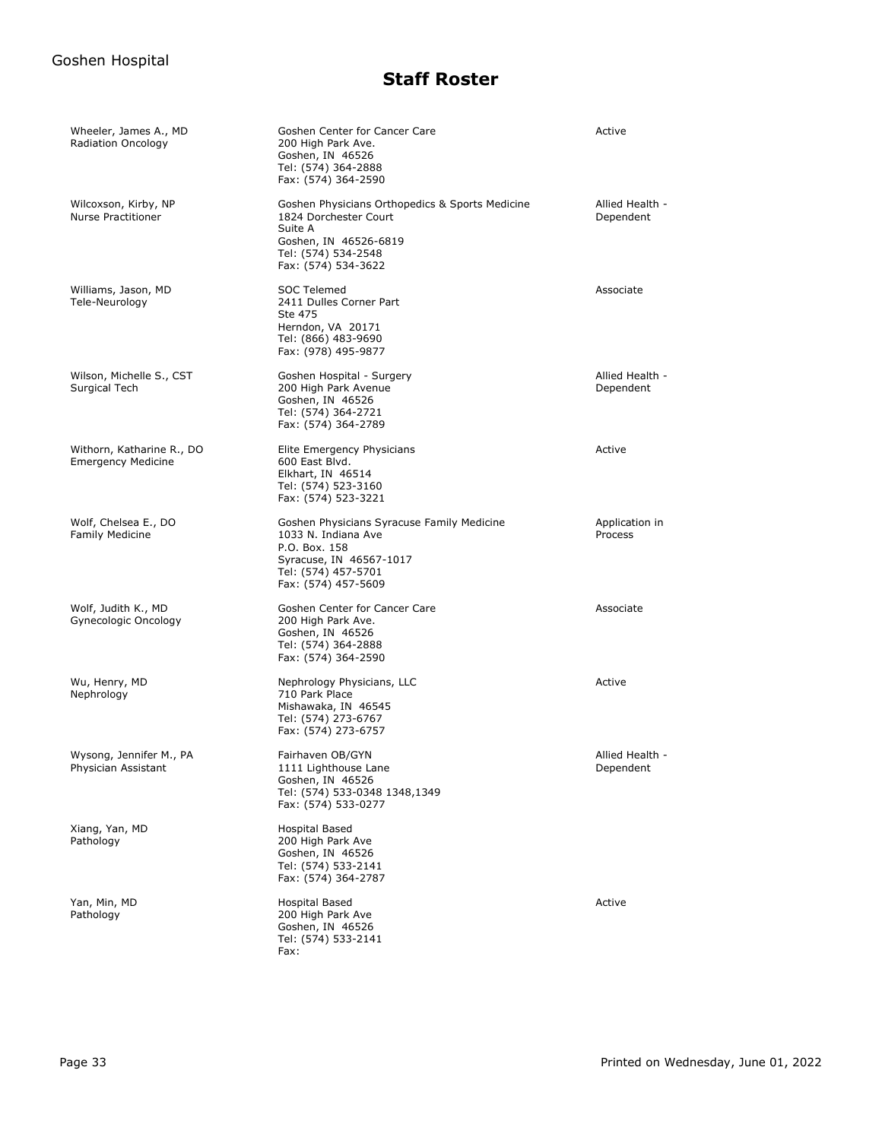| Wheeler, James A., MD<br>Radiation Oncology            | Goshen Center for Cancer Care<br>200 High Park Ave.<br>Goshen, IN 46526<br>Tel: (574) 364-2888<br>Fax: (574) 364-2590                                       | Active                       |
|--------------------------------------------------------|-------------------------------------------------------------------------------------------------------------------------------------------------------------|------------------------------|
| Wilcoxson, Kirby, NP<br><b>Nurse Practitioner</b>      | Goshen Physicians Orthopedics & Sports Medicine<br>1824 Dorchester Court<br>Suite A<br>Goshen, IN 46526-6819<br>Tel: (574) 534-2548<br>Fax: (574) 534-3622  | Allied Health -<br>Dependent |
| Williams, Jason, MD<br>Tele-Neurology                  | <b>SOC Telemed</b><br>2411 Dulles Corner Part<br>Ste 475<br>Herndon, VA 20171<br>Tel: (866) 483-9690<br>Fax: (978) 495-9877                                 | Associate                    |
| Wilson, Michelle S., CST<br>Surgical Tech              | Goshen Hospital - Surgery<br>200 High Park Avenue<br>Goshen, IN 46526<br>Tel: (574) 364-2721<br>Fax: (574) 364-2789                                         | Allied Health -<br>Dependent |
| Withorn, Katharine R., DO<br><b>Emergency Medicine</b> | Elite Emergency Physicians<br>600 East Blvd.<br>Elkhart, IN 46514<br>Tel: (574) 523-3160<br>Fax: (574) 523-3221                                             | Active                       |
| Wolf, Chelsea E., DO<br><b>Family Medicine</b>         | Goshen Physicians Syracuse Family Medicine<br>1033 N. Indiana Ave<br>P.O. Box. 158<br>Syracuse, IN 46567-1017<br>Tel: (574) 457-5701<br>Fax: (574) 457-5609 | Application in<br>Process    |
| Wolf, Judith K., MD<br>Gynecologic Oncology            | Goshen Center for Cancer Care<br>200 High Park Ave.<br>Goshen, IN 46526<br>Tel: (574) 364-2888<br>Fax: (574) 364-2590                                       | Associate                    |
| Wu, Henry, MD<br>Nephrology                            | Nephrology Physicians, LLC<br>710 Park Place<br>Mishawaka, IN 46545<br>Tel: (574) 273-6767<br>Fax: (574) 273-6757                                           | Active                       |
| Wysong, Jennifer M., PA<br>Physician Assistant         | Fairhaven OB/GYN<br>1111 Lighthouse Lane<br>Goshen, IN 46526<br>Tel: (574) 533-0348 1348,1349<br>Fax: (574) 533-0277                                        | Allied Health -<br>Dependent |
| Xiang, Yan, MD<br>Pathology                            | Hospital Based<br>200 High Park Ave<br>Goshen, IN 46526<br>Tel: (574) 533-2141<br>Fax: (574) 364-2787                                                       |                              |
| Yan, Min, MD<br>Pathology                              | Hospital Based<br>200 High Park Ave<br>Goshen, IN 46526<br>Tel: (574) 533-2141<br>Fax:                                                                      | Active                       |